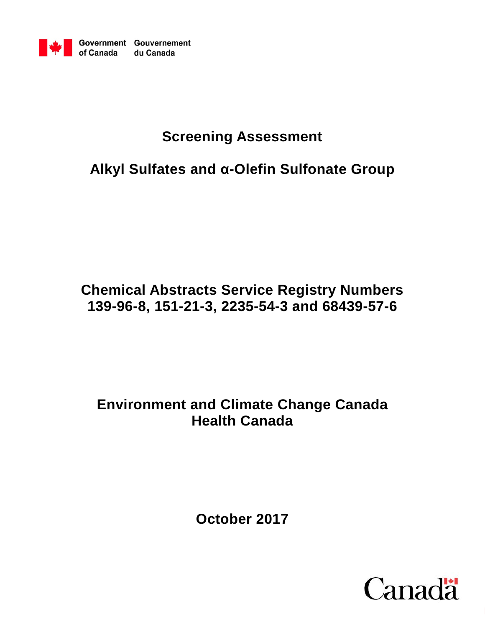

# **Screening Assessment**

# **Alkyl Sulfates and α-Olefin Sulfonate Group**

# **Chemical Abstracts Service Registry Numbers 139-96-8, 151-21-3, 2235-54-3 and 68439-57-6**

# **Environment and Climate Change Canada Health Canada**

**October 2017**

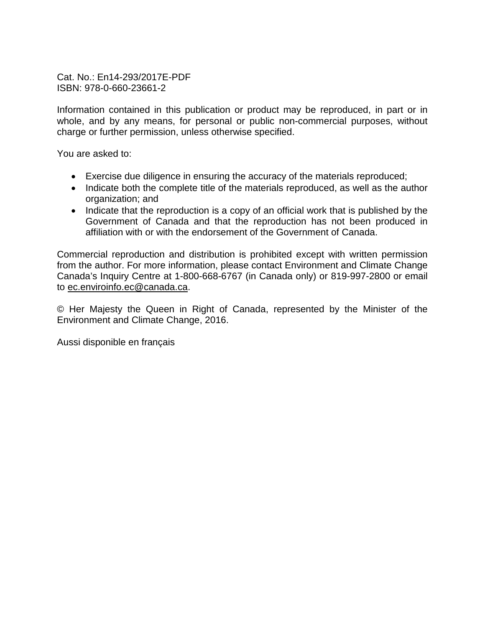Cat. No.: En14-293/2017E-PDF ISBN: 978-0-660-23661-2

Information contained in this publication or product may be reproduced, in part or in whole, and by any means, for personal or public non-commercial purposes, without charge or further permission, unless otherwise specified.

You are asked to:

- Exercise due diligence in ensuring the accuracy of the materials reproduced;
- Indicate both the complete title of the materials reproduced, as well as the author organization; and
- Indicate that the reproduction is a copy of an official work that is published by the Government of Canada and that the reproduction has not been produced in affiliation with or with the endorsement of the Government of Canada.

Commercial reproduction and distribution is prohibited except with written permission from the author. For more information, please contact Environment and Climate Change Canada's Inquiry Centre at 1-800-668-6767 (in Canada only) or 819-997-2800 or email to [ec.enviroinfo.ec@canada.ca.](mailto:ec.enviroinfo.ec@canada.ca)

© Her Majesty the Queen in Right of Canada, represented by the Minister of the Environment and Climate Change, 2016.

Aussi disponible en français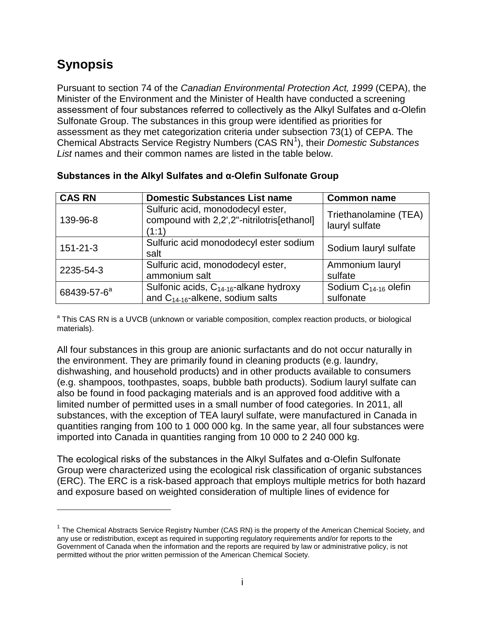### <span id="page-2-1"></span>**Synopsis**

 $\overline{a}$ 

Pursuant to section 74 of the *Canadian Environmental Protection Act, 1999* (CEPA), the Minister of the Environment and the Minister of Health have conducted a screening assessment of four substances referred to collectively as the Alkyl Sulfates and α-Olefin Sulfonate Group. The substances in this group were identified as priorities for assessment as they met categorization criteria under subsection 73(1) of CEPA. The Chemical Abstracts Service Registry Numbers (CAS RN<sup>[1](#page-2-0)</sup>), their *Domestic Substances List* names and their common names are listed in the table below.

| <b>CAS RN</b>           | <b>Domestic Substances List name</b>                                                        | <b>Common name</b>                      |
|-------------------------|---------------------------------------------------------------------------------------------|-----------------------------------------|
| 139-96-8                | Sulfuric acid, monododecyl ester,<br>compound with 2,2',2"-nitrilotris[ethanol]<br>(1:1)    | Triethanolamine (TEA)<br>lauryl sulfate |
| $151 - 21 - 3$          | Sulfuric acid monododecyl ester sodium<br>salt                                              | Sodium lauryl sulfate                   |
| 2235-54-3               | Sulfuric acid, monododecyl ester,<br>ammonium salt                                          | Ammonium lauryl<br>sulfate              |
| 68439-57-6 <sup>a</sup> | Sulfonic acids, C <sub>14-16</sub> -alkane hydroxy<br>and $C_{14-16}$ -alkene, sodium salts | Sodium $C_{14-16}$ olefin<br>sulfonate  |

#### **Substances in the Alkyl Sulfates and α-Olefin Sulfonate Group**

<sup>a</sup> This CAS RN is a UVCB (unknown or variable composition, complex reaction products, or biological materials).

All four substances in this group are anionic surfactants and do not occur naturally in the environment. They are primarily found in cleaning products (e.g. laundry, dishwashing, and household products) and in other products available to consumers (e.g. shampoos, toothpastes, soaps, bubble bath products). Sodium lauryl sulfate can also be found in food packaging materials and is an approved food additive with a limited number of permitted uses in a small number of food categories. In 2011, all substances, with the exception of TEA lauryl sulfate, were manufactured in Canada in quantities ranging from 100 to 1 000 000 kg. In the same year, all four substances were imported into Canada in quantities ranging from 10 000 to 2 240 000 kg.

The ecological risks of the substances in the Alkyl Sulfates and α-Olefin Sulfonate Group were characterized using the ecological risk classification of organic substances (ERC). The ERC is a risk-based approach that employs multiple metrics for both hazard and exposure based on weighted consideration of multiple lines of evidence for

<span id="page-2-0"></span><sup>&</sup>lt;sup>1</sup> The Chemical Abstracts Service Registry Number (CAS RN) is the property of the American Chemical Society, and any use or redistribution, except as required in supporting regulatory requirements and/or for reports to the Government of Canada when the information and the reports are required by law or administrative policy, is not permitted without the prior written permission of the American Chemical Society.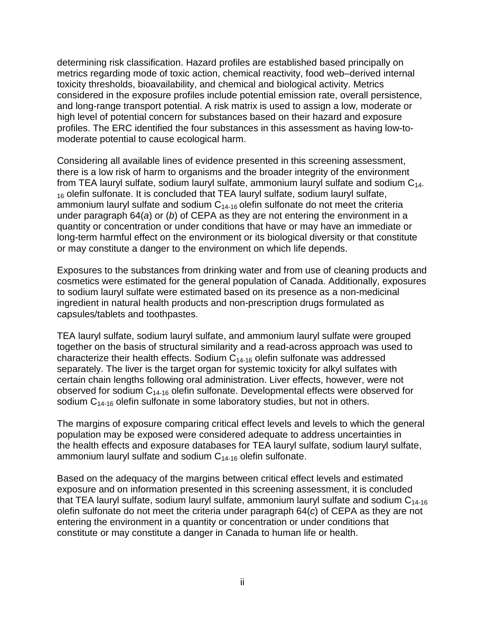determining risk classification. Hazard profiles are established based principally on metrics regarding mode of toxic action, chemical reactivity, food web–derived internal toxicity thresholds, bioavailability, and chemical and biological activity. Metrics considered in the exposure profiles include potential emission rate, overall persistence, and long-range transport potential. A risk matrix is used to assign a low, moderate or high level of potential concern for substances based on their hazard and exposure profiles. The ERC identified the four substances in this assessment as having low-tomoderate potential to cause ecological harm.

Considering all available lines of evidence presented in this screening assessment, there is a low risk of harm to organisms and the broader integrity of the environment from TEA lauryl sulfate, sodium lauryl sulfate, ammonium lauryl sulfate and sodium  $C_{14}$ . <sub>16</sub> olefin sulfonate. It is concluded that TEA lauryl sulfate, sodium lauryl sulfate, ammonium lauryl sulfate and sodium  $C_{14-16}$  olefin sulfonate do not meet the criteria under paragraph 64(*a*) or (*b*) of CEPA as they are not entering the environment in a quantity or concentration or under conditions that have or may have an immediate or long-term harmful effect on the environment or its biological diversity or that constitute or may constitute a danger to the environment on which life depends.

Exposures to the substances from drinking water and from use of cleaning products and cosmetics were estimated for the general population of Canada. Additionally, exposures to sodium lauryl sulfate were estimated based on its presence as a non-medicinal ingredient in natural health products and non-prescription drugs formulated as capsules/tablets and toothpastes.

TEA lauryl sulfate, sodium lauryl sulfate, and ammonium lauryl sulfate were grouped together on the basis of structural similarity and a read-across approach was used to characterize their health effects. Sodium  $C_{14-16}$  olefin sulfonate was addressed separately. The liver is the target organ for systemic toxicity for alkyl sulfates with certain chain lengths following oral administration. Liver effects, however, were not observed for sodium  $C_{14-16}$  olefin sulfonate. Developmental effects were observed for sodium  $C_{14-16}$  olefin sulfonate in some laboratory studies, but not in others.

The margins of exposure comparing critical effect levels and levels to which the general population may be exposed were considered adequate to address uncertainties in the health effects and exposure databases for TEA lauryl sulfate, sodium lauryl sulfate, ammonium lauryl sulfate and sodium  $C_{14-16}$  olefin sulfonate.

Based on the adequacy of the margins between critical effect levels and estimated exposure and on information presented in this screening assessment, it is concluded that TEA lauryl sulfate, sodium lauryl sulfate, ammonium lauryl sulfate and sodium  $C_{14-16}$ olefin sulfonate do not meet the criteria under paragraph 64(*c*) of CEPA as they are not entering the environment in a quantity or concentration or under conditions that constitute or may constitute a danger in Canada to human life or health.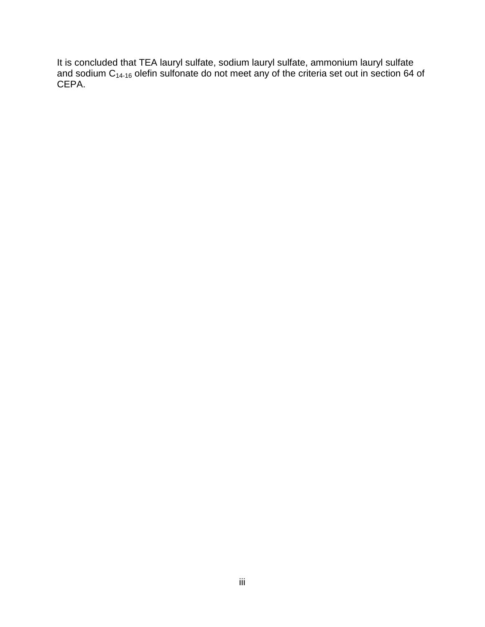It is concluded that TEA lauryl sulfate, sodium lauryl sulfate, ammonium lauryl sulfate and sodium  $\mathsf{C}_{\mathsf{14\text{-}16}}$  olefin sulfonate do not meet any of the criteria set out in section 64 of CEPA.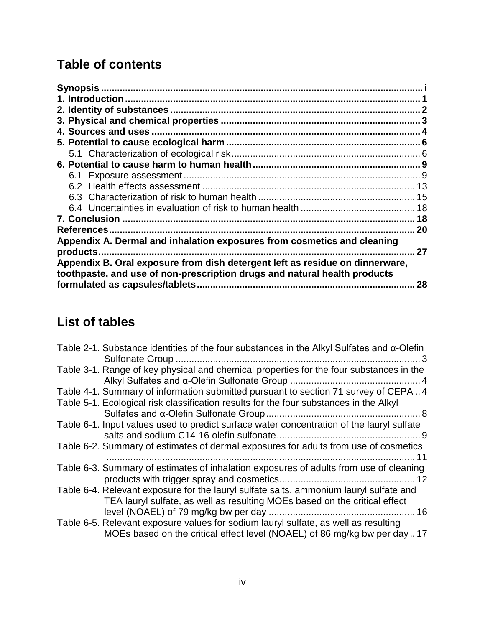# **Table of contents**

|                                                                              | 18 |
|------------------------------------------------------------------------------|----|
|                                                                              | 18 |
| References.                                                                  | 20 |
| Appendix A. Dermal and inhalation exposures from cosmetics and cleaning      |    |
| products.                                                                    | 27 |
| Appendix B. Oral exposure from dish detergent left as residue on dinnerware, |    |
| toothpaste, and use of non-prescription drugs and natural health products    |    |
| formulated as capsules/tablets.                                              | 28 |
|                                                                              |    |

## **List of tables**

| Table 2-1. Substance identities of the four substances in the Alkyl Sulfates and $\alpha$ -Olefin<br>. 3 |
|----------------------------------------------------------------------------------------------------------|
| Table 3-1. Range of key physical and chemical properties for the four substances in the                  |
| Table 4-1. Summary of information submitted pursuant to section 71 survey of CEPA4                       |
| Table 5-1. Ecological risk classification results for the four substances in the Alkyl                   |
|                                                                                                          |
| Table 6-1. Input values used to predict surface water concentration of the lauryl sulfate                |
|                                                                                                          |
| Table 6-2. Summary of estimates of dermal exposures for adults from use of cosmetics                     |
|                                                                                                          |
| Table 6-3. Summary of estimates of inhalation exposures of adults from use of cleaning                   |
|                                                                                                          |
| Table 6-4. Relevant exposure for the lauryl sulfate salts, ammonium lauryl sulfate and                   |
| TEA lauryl sulfate, as well as resulting MOEs based on the critical effect                               |
|                                                                                                          |
| Table 6-5. Relevant exposure values for sodium lauryl sulfate, as well as resulting                      |
| MOEs based on the critical effect level (NOAEL) of 86 mg/kg bw per day17                                 |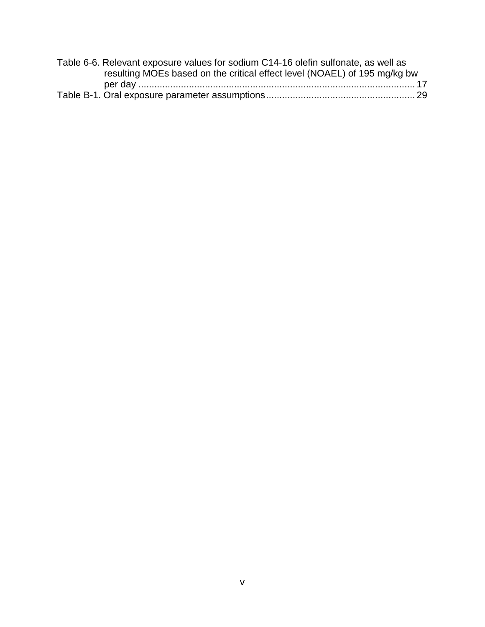| Table 6-6. Relevant exposure values for sodium C14-16 olefin sulfonate, as well as |  |
|------------------------------------------------------------------------------------|--|
| resulting MOEs based on the critical effect level (NOAEL) of 195 mg/kg bw          |  |
|                                                                                    |  |
|                                                                                    |  |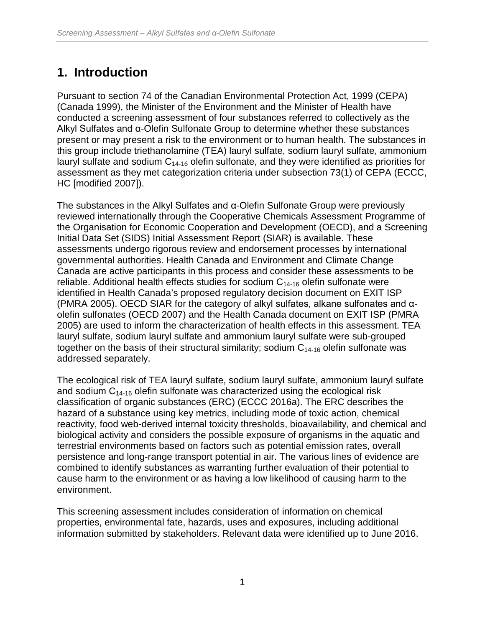## <span id="page-7-0"></span>**1. Introduction**

Pursuant to section 74 of the Canadian Environmental Protection Act, 1999 (CEPA) (Canada 1999), the Minister of the Environment and the Minister of Health have conducted a screening assessment of four substances referred to collectively as the Alkyl Sulfates and α-Olefin Sulfonate Group to determine whether these substances present or may present a risk to the environment or to human health. The substances in this group include triethanolamine (TEA) lauryl sulfate, sodium lauryl sulfate, ammonium lauryl sulfate and sodium  $C_{14-16}$  olefin sulfonate, and they were identified as priorities for assessment as they met categorization criteria under subsection 73(1) of CEPA (ECCC, HC [modified 2007]).

The substances in the Alkyl Sulfates and α-Olefin Sulfonate Group were previously reviewed internationally through the Cooperative Chemicals Assessment Programme of the Organisation for Economic Cooperation and Development (OECD), and a Screening Initial Data Set (SIDS) Initial Assessment Report (SIAR) is available. These assessments undergo rigorous review and endorsement processes by international governmental authorities. Health Canada and Environment and Climate Change Canada are active participants in this process and consider these assessments to be reliable. Additional health effects studies for sodium  $C_{14-16}$  olefin sulfonate were identified in Health Canada's proposed regulatory decision document on EXIT ISP (PMRA 2005). OECD SIAR for the category of alkyl sulfates, alkane sulfonates and αolefin sulfonates (OECD 2007) and the Health Canada document on EXIT ISP (PMRA 2005) are used to inform the characterization of health effects in this assessment. TEA lauryl sulfate, sodium lauryl sulfate and ammonium lauryl sulfate were sub-grouped together on the basis of their structural similarity; sodium  $C_{14-16}$  olefin sulfonate was addressed separately.

The ecological risk of TEA lauryl sulfate, sodium lauryl sulfate, ammonium lauryl sulfate and sodium  $C_{14-16}$  olefin sulfonate was characterized using the ecological risk classification of organic substances (ERC) (ECCC 2016a). The ERC describes the hazard of a substance using key metrics, including mode of toxic action, chemical reactivity, food web-derived internal toxicity thresholds, bioavailability, and chemical and biological activity and considers the possible exposure of organisms in the aquatic and terrestrial environments based on factors such as potential emission rates, overall persistence and long-range transport potential in air. The various lines of evidence are combined to identify substances as warranting further evaluation of their potential to cause harm to the environment or as having a low likelihood of causing harm to the environment.

This screening assessment includes consideration of information on chemical properties, environmental fate, hazards, uses and exposures, including additional information submitted by stakeholders. Relevant data were identified up to June 2016.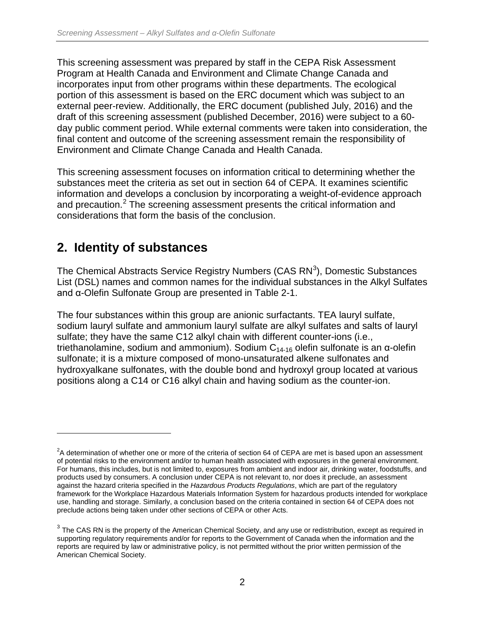This screening assessment was prepared by staff in the CEPA Risk Assessment Program at Health Canada and Environment and Climate Change Canada and incorporates input from other programs within these departments. The ecological portion of this assessment is based on the ERC document which was subject to an external peer-review. Additionally, the ERC document (published July, 2016) and the draft of this screening assessment (published December, 2016) were subject to a 60 day public comment period. While external comments were taken into consideration, the final content and outcome of the screening assessment remain the responsibility of Environment and Climate Change Canada and Health Canada.

This screening assessment focuses on information critical to determining whether the substances meet the criteria as set out in section 64 of CEPA. It examines scientific information and develops a conclusion by incorporating a weight-of-evidence approach and precaution. [2](#page-8-1) The screening assessment presents the critical information and considerations that form the basis of the conclusion.

### <span id="page-8-0"></span>**2. Identity of substances**

 $\overline{a}$ 

The Chemical Abstracts Service Registry Numbers (CAS RN<sup>[3](#page-8-2)</sup>), Domestic Substances List (DSL) names and common names for the individual substances in the Alkyl Sulfates and α-Olefin Sulfonate Group are presented in Table 2-1.

The four substances within this group are anionic surfactants. TEA lauryl sulfate, sodium lauryl sulfate and ammonium lauryl sulfate are alkyl sulfates and salts of lauryl sulfate; they have the same C12 alkyl chain with different counter-ions (i.e., triethanolamine, sodium and ammonium). Sodium  $C_{14-16}$  olefin sulfonate is an α-olefin sulfonate; it is a mixture composed of mono-unsaturated alkene sulfonates and hydroxyalkane sulfonates, with the double bond and hydroxyl group located at various positions along a C14 or C16 alkyl chain and having sodium as the counter-ion.

<span id="page-8-1"></span> $2A$  determination of whether one or more of the criteria of section 64 of CEPA are met is based upon an assessment of potential risks to the environment and/or to human health associated with exposures in the general environment. For humans, this includes, but is not limited to, exposures from ambient and indoor air, drinking water, foodstuffs, and products used by consumers. A conclusion under CEPA is not relevant to, nor does it preclude, an assessment against the hazard criteria specified in the *Hazardous Products Regulations*, which are part of the regulatory framework for the Workplace Hazardous Materials Information System for hazardous products intended for workplace use, handling and storage. Similarly, a conclusion based on the criteria contained in section 64 of CEPA does not preclude actions being taken under other sections of CEPA or other Acts.

<span id="page-8-2"></span> $3$  The CAS RN is the property of the American Chemical Society, and any use or redistribution, except as required in supporting regulatory requirements and/or for reports to the Government of Canada when the information and the reports are required by law or administrative policy, is not permitted without the prior written permission of the American Chemical Society.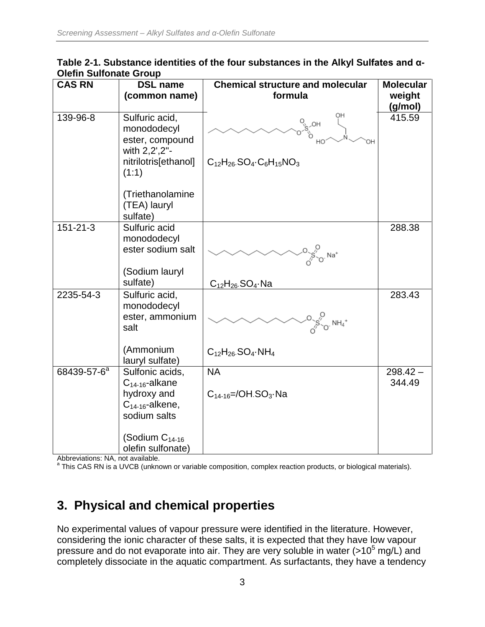<span id="page-9-1"></span>

| Table 2-1. Substance identities of the four substances in the Alkyl Sulfates and $\alpha$ - |  |  |
|---------------------------------------------------------------------------------------------|--|--|
| <b>Olefin Sulfonate Group</b>                                                               |  |  |

| <b>CAS RN</b>           | <b>DSL name</b>                                                                                    | <b>Chemical structure and molecular</b>                                                       | <b>Molecular</b>     |
|-------------------------|----------------------------------------------------------------------------------------------------|-----------------------------------------------------------------------------------------------|----------------------|
|                         | (common name)                                                                                      | formula                                                                                       | weight               |
|                         |                                                                                                    |                                                                                               | (g/mol)              |
| 139-96-8                | Sulfuric acid,<br>monododecyl<br>ester, compound<br>with 2,2',2"-<br>nitrilotris[ethanol]<br>(1:1) | OH<br>ЮH<br>$C_{12}H_{26}$ . SO <sub>4</sub> . C <sub>6</sub> H <sub>15</sub> NO <sub>3</sub> | 415.59               |
|                         | (Triethanolamine<br>(TEA) lauryl<br>sulfate)                                                       |                                                                                               |                      |
| $151 - 21 - 3$          | Sulfuric acid<br>monododecyl<br>ester sodium salt                                                  | $\int_{\sqrt{5}^{10} \text{Na}^+}^{\text{O}}$                                                 | 288.38               |
|                         | (Sodium lauryl<br>sulfate)                                                                         | $C_{12}H_{26}$ . SO <sub>4</sub> . Na                                                         |                      |
| 2235-54-3               | Sulfuric acid,<br>monododecyl<br>ester, ammonium<br>salt                                           | $\frac{10^{10}}{10^{10}}$ NH <sub>4</sub> <sup>+</sup>                                        | 283.43               |
|                         | (Ammonium<br>lauryl sulfate)                                                                       | $C_{12}H_{26}$ . SO <sub>4</sub> . NH <sub>4</sub>                                            |                      |
| 68439-57-6 <sup>a</sup> | Sulfonic acids,<br>$C_{14-16}$ -alkane<br>hydroxy and<br>$C_{14-16}$ -alkene,<br>sodium salts      | <b>NA</b><br>$C_{14-16}$ =/OH.SO <sub>3</sub> ·Na                                             | $298.42 -$<br>344.49 |
|                         | (Sodium $C_{14-16}$<br>olefin sulfonate)                                                           |                                                                                               |                      |

Abbreviations: NA, not available.

<span id="page-9-0"></span><sup>a</sup> This CAS RN is a UVCB (unknown or variable composition, complex reaction products, or biological materials).

## **3. Physical and chemical properties**

No experimental values of vapour pressure were identified in the literature. However, considering the ionic character of these salts, it is expected that they have low vapour pressure and do not evaporate into air. They are very soluble in water (>10<sup>5</sup> mg/L) and completely dissociate in the aquatic compartment. As surfactants, they have a tendency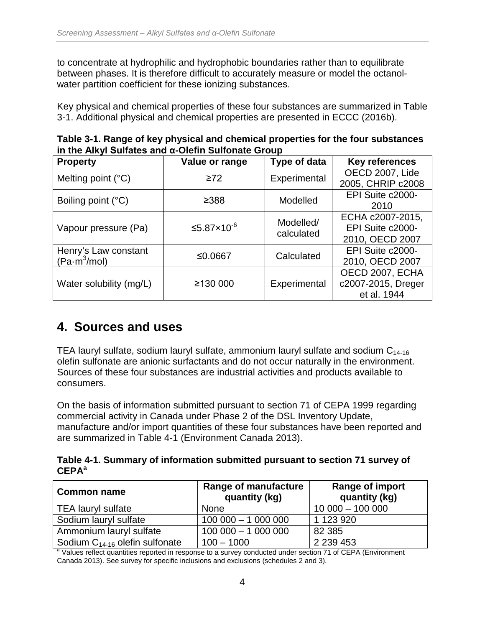to concentrate at hydrophilic and hydrophobic boundaries rather than to equilibrate between phases. It is therefore difficult to accurately measure or model the octanolwater partition coefficient for these ionizing substances.

Key physical and chemical properties of these four substances are summarized in Table 3-1. Additional physical and chemical properties are presented in ECCC (2016b).

| in the Alkyl Suilates and d-Olehn Suilonate Group |                        |              |                       |  |
|---------------------------------------------------|------------------------|--------------|-----------------------|--|
| <b>Property</b>                                   | Value or range         | Type of data | <b>Key references</b> |  |
| Melting point $(^{\circ}C)$                       | $\geq 72$              | Experimental | OECD 2007, Lide       |  |
|                                                   |                        |              | 2005, CHRIP c2008     |  |
| Boiling point (°C)                                | ≥388                   | Modelled     | EPI Suite c2000-      |  |
|                                                   |                        |              | 2010                  |  |
|                                                   |                        | Modelled/    | ECHA c2007-2015,      |  |
| Vapour pressure (Pa)                              | ≤5.87×10 <sup>-6</sup> | calculated   | EPI Suite c2000-      |  |
|                                                   |                        |              | 2010, OECD 2007       |  |
| Henry's Law constant                              | ≤0.0667                | Calculated   | EPI Suite c2000-      |  |
| $(Pa \cdot m^3/mol)$                              |                        |              | 2010, OECD 2007       |  |
|                                                   |                        |              | OECD 2007, ECHA       |  |
| Water solubility (mg/L)                           | ≥130 000               | Experimental | c2007-2015, Dreger    |  |
|                                                   |                        |              | et al. 1944           |  |

<span id="page-10-1"></span>**Table 3-1. Range of key physical and chemical properties for the four substances in the Alkyl Sulfates and α-Olefin Sulfonate Group**

### <span id="page-10-0"></span>**4. Sources and uses**

TEA lauryl sulfate, sodium lauryl sulfate, ammonium lauryl sulfate and sodium  $C_{14-16}$ olefin sulfonate are anionic surfactants and do not occur naturally in the environment. Sources of these four substances are industrial activities and products available to consumers.

On the basis of information submitted pursuant to section 71 of CEPA 1999 regarding commercial activity in Canada under Phase 2 of the DSL Inventory Update, manufacture and/or import quantities of these four substances have been reported and are summarized in Table 4-1 (Environment Canada 2013).

<span id="page-10-2"></span>**Table 4-1. Summary of information submitted pursuant to section 71 survey of CEPAa**

| <b>Common name</b>                  | <b>Range of manufacture</b><br>quantity (kg) | <b>Range of import</b><br>quantity (kg) |
|-------------------------------------|----------------------------------------------|-----------------------------------------|
| <b>TEA lauryl sulfate</b>           | None                                         | $10000 - 10000$                         |
| Sodium lauryl sulfate               | $100000 - 1000000$                           | 1 123 920                               |
| Ammonium lauryl sulfate             | $100000 - 1000000$                           | 82 385                                  |
| Sodium $C_{14-16}$ olefin sulfonate | $100 - 1000$                                 | 2 2 3 4 4 5 3                           |

<sup>a</sup> Values reflect quantities reported in response to a survey conducted under section 71 of CEPA (Environment Canada 2013). See survey for specific inclusions and exclusions (schedules 2 and 3).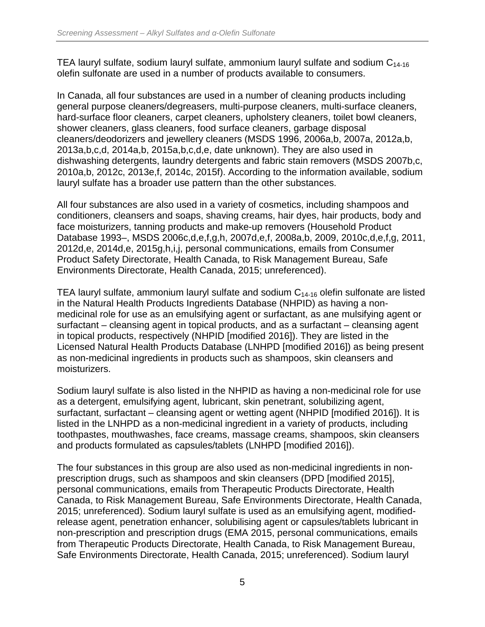TEA lauryl sulfate, sodium lauryl sulfate, ammonium lauryl sulfate and sodium  $C_{14-16}$ olefin sulfonate are used in a number of products available to consumers.

In Canada, all four substances are used in a number of cleaning products including general purpose cleaners/degreasers, multi-purpose cleaners, multi-surface cleaners, hard-surface floor cleaners, carpet cleaners, upholstery cleaners, toilet bowl cleaners, shower cleaners, glass cleaners, food surface cleaners, garbage disposal cleaners/deodorizers and jewellery cleaners (MSDS 1996, 2006a,b, 2007a, 2012a,b, 2013a,b,c,d, 2014a,b, 2015a,b,c,d,e, date unknown). They are also used in dishwashing detergents, laundry detergents and fabric stain removers (MSDS 2007b,c, 2010a,b, 2012c, 2013e,f, 2014c, 2015f). According to the information available, sodium lauryl sulfate has a broader use pattern than the other substances.

All four substances are also used in a variety of cosmetics, including shampoos and conditioners, cleansers and soaps, shaving creams, hair dyes, hair products, body and face moisturizers, tanning products and make-up removers (Household Product Database 1993–, MSDS 2006c,d,e,f,g,h, 2007d,e,f, 2008a,b, 2009, 2010c,d,e,f,g, 2011, 2012d,e, 2014d,e, 2015g,h,i,j, personal communications, emails from Consumer Product Safety Directorate, Health Canada, to Risk Management Bureau, Safe Environments Directorate, Health Canada, 2015; unreferenced).

TEA lauryl sulfate, ammonium lauryl sulfate and sodium  $C_{14-16}$  olefin sulfonate are listed in the Natural Health Products Ingredients Database (NHPID) as having a nonmedicinal role for use as an emulsifying agent or surfactant, as ane mulsifying agent or surfactant – cleansing agent in topical products, and as a surfactant – cleansing agent in topical products, respectively (NHPID [modified 2016]). They are listed in the Licensed Natural Health Products Database (LNHPD [modified 2016]) as being present as non-medicinal ingredients in products such as shampoos, skin cleansers and moisturizers.

Sodium lauryl sulfate is also listed in the NHPID as having a non-medicinal role for use as a detergent, emulsifying agent, lubricant, skin penetrant, solubilizing agent, surfactant, surfactant – cleansing agent or wetting agent (NHPID [modified 2016]). It is listed in the LNHPD as a non-medicinal ingredient in a variety of products, including toothpastes, mouthwashes, face creams, massage creams, shampoos, skin cleansers and products formulated as capsules/tablets (LNHPD [modified 2016]).

The four substances in this group are also used as non-medicinal ingredients in nonprescription drugs, such as shampoos and skin cleansers (DPD [modified 2015], personal communications, emails from Therapeutic Products Directorate, Health Canada, to Risk Management Bureau, Safe Environments Directorate, Health Canada, 2015; unreferenced). Sodium lauryl sulfate is used as an emulsifying agent, modifiedrelease agent, penetration enhancer, solubilising agent or capsules/tablets lubricant in non-prescription and prescription drugs (EMA 2015, personal communications, emails from Therapeutic Products Directorate, Health Canada, to Risk Management Bureau, Safe Environments Directorate, Health Canada, 2015; unreferenced). Sodium lauryl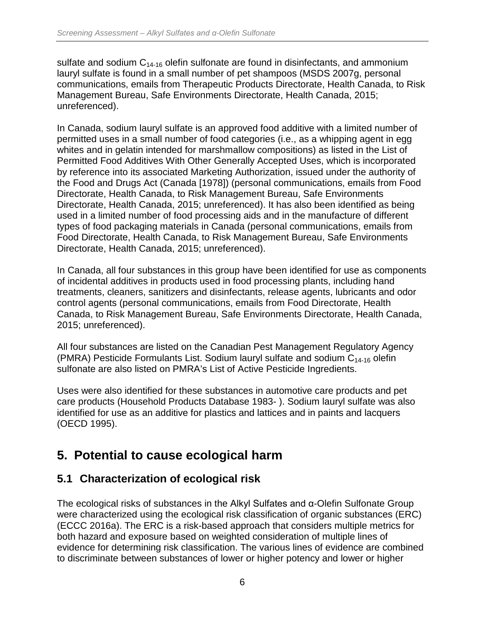sulfate and sodium  $C_{14-16}$  olefin sulfonate are found in disinfectants, and ammonium lauryl sulfate is found in a small number of pet shampoos (MSDS 2007g, personal communications, emails from Therapeutic Products Directorate, Health Canada, to Risk Management Bureau, Safe Environments Directorate, Health Canada, 2015; unreferenced).

In Canada, sodium lauryl sulfate is an approved food additive with a limited number of permitted uses in a small number of food categories (i.e., as a whipping agent in egg whites and in gelatin intended for marshmallow compositions) as listed in the List of Permitted Food Additives With Other Generally Accepted Uses, which is incorporated by reference into its associated Marketing Authorization, issued under the authority of the Food and Drugs Act (Canada [1978]) (personal communications, emails from Food Directorate, Health Canada, to Risk Management Bureau, Safe Environments Directorate, Health Canada, 2015; unreferenced). It has also been identified as being used in a limited number of food processing aids and in the manufacture of different types of food packaging materials in Canada (personal communications, emails from Food Directorate, Health Canada, to Risk Management Bureau, Safe Environments Directorate, Health Canada, 2015; unreferenced).

In Canada, all four substances in this group have been identified for use as components of incidental additives in products used in food processing plants, including hand treatments, cleaners, sanitizers and disinfectants, release agents, lubricants and odor control agents (personal communications, emails from Food Directorate, Health Canada, to Risk Management Bureau, Safe Environments Directorate, Health Canada, 2015; unreferenced).

All four substances are listed on the Canadian Pest Management Regulatory Agency (PMRA) Pesticide Formulants List. Sodium lauryl sulfate and sodium  $C_{14-16}$  olefin sulfonate are also listed on PMRA's List of Active Pesticide Ingredients.

Uses were also identified for these substances in automotive care products and pet care products (Household Products Database 1983- ). Sodium lauryl sulfate was also identified for use as an additive for plastics and lattices and in paints and lacquers (OECD 1995).

## <span id="page-12-0"></span>**5. Potential to cause ecological harm**

### <span id="page-12-1"></span>**5.1 Characterization of ecological risk**

The ecological risks of substances in the Alkyl Sulfates and α-Olefin Sulfonate Group were characterized using the ecological risk classification of organic substances (ERC) (ECCC 2016a). The ERC is a risk-based approach that considers multiple metrics for both hazard and exposure based on weighted consideration of multiple lines of evidence for determining risk classification. The various lines of evidence are combined to discriminate between substances of lower or higher potency and lower or higher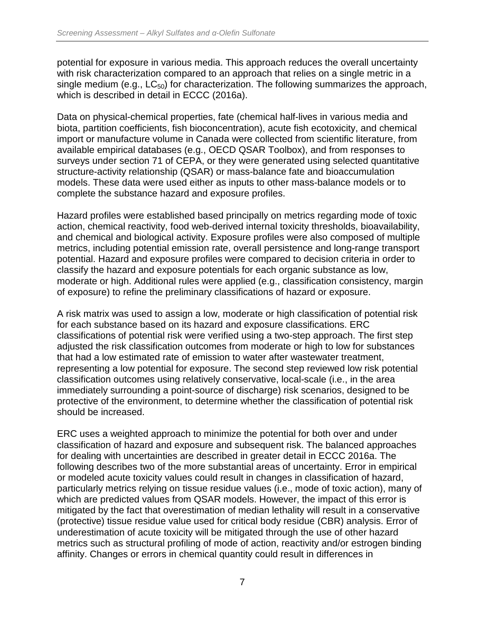potential for exposure in various media. This approach reduces the overall uncertainty with risk characterization compared to an approach that relies on a single metric in a single medium (e.g.,  $LC_{50}$ ) for characterization. The following summarizes the approach, which is described in detail in ECCC (2016a).

Data on physical-chemical properties, fate (chemical half-lives in various media and biota, partition coefficients, fish bioconcentration), acute fish ecotoxicity, and chemical import or manufacture volume in Canada were collected from scientific literature, from available empirical databases (e.g., OECD QSAR Toolbox), and from responses to surveys under section 71 of CEPA, or they were generated using selected quantitative structure-activity relationship (QSAR) or mass-balance fate and bioaccumulation models. These data were used either as inputs to other mass-balance models or to complete the substance hazard and exposure profiles.

Hazard profiles were established based principally on metrics regarding mode of toxic action, chemical reactivity, food web-derived internal toxicity thresholds, bioavailability, and chemical and biological activity. Exposure profiles were also composed of multiple metrics, including potential emission rate, overall persistence and long-range transport potential. Hazard and exposure profiles were compared to decision criteria in order to classify the hazard and exposure potentials for each organic substance as low, moderate or high. Additional rules were applied (e.g., classification consistency, margin of exposure) to refine the preliminary classifications of hazard or exposure.

A risk matrix was used to assign a low, moderate or high classification of potential risk for each substance based on its hazard and exposure classifications. ERC classifications of potential risk were verified using a two-step approach. The first step adjusted the risk classification outcomes from moderate or high to low for substances that had a low estimated rate of emission to water after wastewater treatment, representing a low potential for exposure. The second step reviewed low risk potential classification outcomes using relatively conservative, local-scale (i.e., in the area immediately surrounding a point-source of discharge) risk scenarios, designed to be protective of the environment, to determine whether the classification of potential risk should be increased.

ERC uses a weighted approach to minimize the potential for both over and under classification of hazard and exposure and subsequent risk. The balanced approaches for dealing with uncertainties are described in greater detail in ECCC 2016a. The following describes two of the more substantial areas of uncertainty. Error in empirical or modeled acute toxicity values could result in changes in classification of hazard, particularly metrics relying on tissue residue values (i.e., mode of toxic action), many of which are predicted values from QSAR models. However, the impact of this error is mitigated by the fact that overestimation of median lethality will result in a conservative (protective) tissue residue value used for critical body residue (CBR) analysis. Error of underestimation of acute toxicity will be mitigated through the use of other hazard metrics such as structural profiling of mode of action, reactivity and/or estrogen binding affinity. Changes or errors in chemical quantity could result in differences in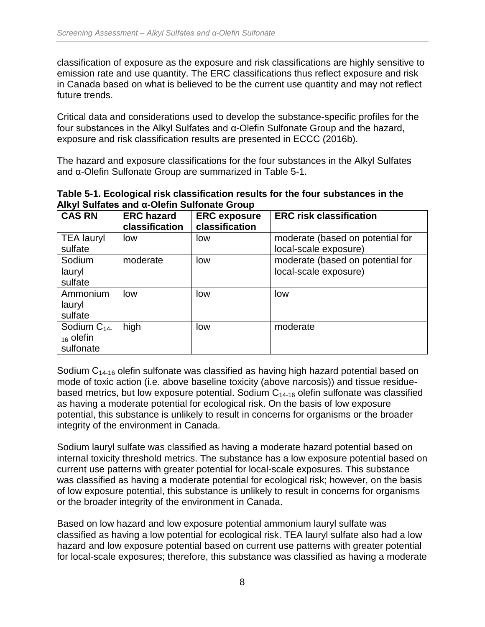classification of exposure as the exposure and risk classifications are highly sensitive to emission rate and use quantity. The ERC classifications thus reflect exposure and risk in Canada based on what is believed to be the current use quantity and may not reflect future trends.

Critical data and considerations used to develop the substance-specific profiles for the four substances in the Alkyl Sulfates and α-Olefin Sulfonate Group and the hazard, exposure and risk classification results are presented in ECCC (2016b).

The hazard and exposure classifications for the four substances in the Alkyl Sulfates and α-Olefin Sulfonate Group are summarized in Table 5-1.

<span id="page-14-0"></span>

| Table 5-1. Ecological risk classification results for the four substances in the |  |
|----------------------------------------------------------------------------------|--|
| Alkyl Sulfates and α-Olefin Sulfonate Group                                      |  |

| <b>CAS RN</b>                                  | <b>ERC hazard</b><br>classification | <b>ERC</b> exposure<br>classification | <b>ERC risk classification</b>                            |
|------------------------------------------------|-------------------------------------|---------------------------------------|-----------------------------------------------------------|
| <b>TEA lauryl</b><br>sulfate                   | low                                 | low                                   | moderate (based on potential for<br>local-scale exposure) |
| Sodium<br>lauryl<br>sulfate                    | moderate                            | low                                   | moderate (based on potential for<br>local-scale exposure) |
| Ammonium<br>lauryl<br>sulfate                  | low                                 | low                                   | low                                                       |
| Sodium $C_{14}$<br>$_{16}$ olefin<br>sulfonate | high                                | low                                   | moderate                                                  |

Sodium  $C_{14-16}$  olefin sulfonate was classified as having high hazard potential based on mode of toxic action (i.e. above baseline toxicity (above narcosis)) and tissue residuebased metrics, but low exposure potential. Sodium  $C_{14-16}$  olefin sulfonate was classified as having a moderate potential for ecological risk. On the basis of low exposure potential, this substance is unlikely to result in concerns for organisms or the broader integrity of the environment in Canada.

Sodium lauryl sulfate was classified as having a moderate hazard potential based on internal toxicity threshold metrics. The substance has a low exposure potential based on current use patterns with greater potential for local-scale exposures. This substance was classified as having a moderate potential for ecological risk; however, on the basis of low exposure potential, this substance is unlikely to result in concerns for organisms or the broader integrity of the environment in Canada.

Based on low hazard and low exposure potential ammonium lauryl sulfate was classified as having a low potential for ecological risk. TEA lauryl sulfate also had a low hazard and low exposure potential based on current use patterns with greater potential for local-scale exposures; therefore, this substance was classified as having a moderate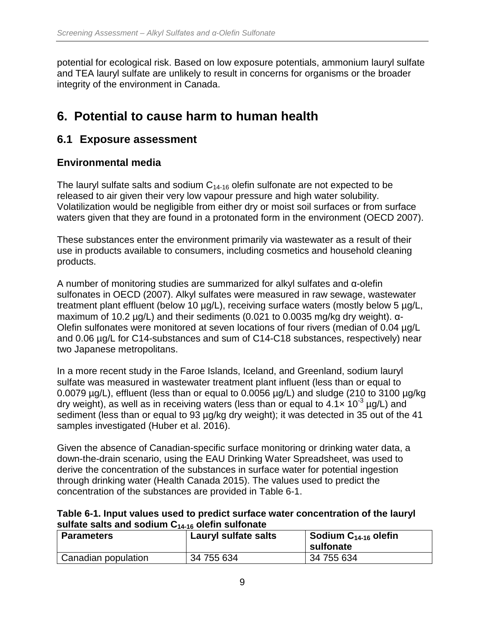potential for ecological risk. Based on low exposure potentials, ammonium lauryl sulfate and TEA lauryl sulfate are unlikely to result in concerns for organisms or the broader integrity of the environment in Canada.

## <span id="page-15-0"></span>**6. Potential to cause harm to human health**

### <span id="page-15-1"></span>**6.1 Exposure assessment**

#### **Environmental media**

The lauryl sulfate salts and sodium  $C_{14-16}$  olefin sulfonate are not expected to be released to air given their very low vapour pressure and high water solubility. Volatilization would be negligible from either dry or moist soil surfaces or from surface waters given that they are found in a protonated form in the environment (OECD 2007).

These substances enter the environment primarily via wastewater as a result of their use in products available to consumers, including cosmetics and household cleaning products.

A number of monitoring studies are summarized for alkyl sulfates and α-olefin sulfonates in OECD (2007). Alkyl sulfates were measured in raw sewage, wastewater treatment plant effluent (below 10 µg/L), receiving surface waters (mostly below 5 µg/L, maximum of 10.2 µg/L) and their sediments (0.021 to 0.0035 mg/kg dry weight). α-Olefin sulfonates were monitored at seven locations of four rivers (median of 0.04 µg/L and 0.06 µg/L for C14-substances and sum of C14-C18 substances, respectively) near two Japanese metropolitans.

In a more recent study in the Faroe Islands, Iceland, and Greenland, sodium lauryl sulfate was measured in wastewater treatment plant influent (less than or equal to 0.0079 µg/L), effluent (less than or equal to 0.0056 µg/L) and sludge (210 to 3100 µg/kg dry weight), as well as in receiving waters (less than or equal to  $4.1 \times 10^{-3}$  µg/L) and sediment (less than or equal to 93 µg/kg dry weight); it was detected in 35 out of the 41 samples investigated (Huber et al. 2016).

Given the absence of Canadian-specific surface monitoring or drinking water data, a down-the-drain scenario, using the EAU Drinking Water Spreadsheet, was used to derive the concentration of the substances in surface water for potential ingestion through drinking water (Health Canada 2015). The values used to predict the concentration of the substances are provided in Table 6-1.

<span id="page-15-2"></span>

| Table 6-1. Input values used to predict surface water concentration of the lauryl |
|-----------------------------------------------------------------------------------|
| sulfate salts and sodium $C_{14-16}$ olefin sulfonate                             |

| <b>Parameters</b>   | Lauryl sulfate salts | Sodium C $_{14\text{-}16}$ olefin<br>sulfonate |
|---------------------|----------------------|------------------------------------------------|
| Canadian population | 34 755 634           | 34 755 634                                     |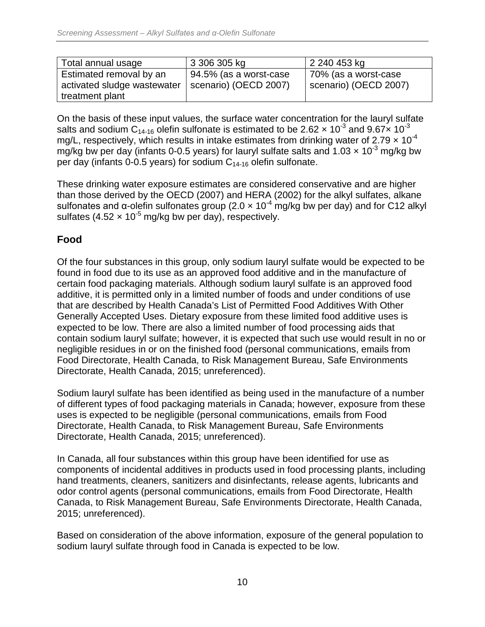| Total annual usage                                                        | 3 306 305 kg                                       | 2 240 453 kg                                  |
|---------------------------------------------------------------------------|----------------------------------------------------|-----------------------------------------------|
| Estimated removal by an<br>activated sludge wastewater<br>treatment plant | $94.5\%$ (as a worst-case<br>scenario) (OECD 2007) | 70% (as a worst-case<br>scenario) (OECD 2007) |

On the basis of these input values, the surface water concentration for the lauryl sulfate salts and sodium C<sub>14-16</sub> olefin sulfonate is estimated to be 2.62  $\times$  10<sup>-3</sup> and 9.67 $\times$  10<sup>-3</sup> mg/L, respectively, which results in intake estimates from drinking water of 2.79  $\times$  10<sup>-4</sup> mg/kg bw per day (infants 0-0.5 years) for lauryl sulfate salts and  $1.03 \times 10^{-3}$  mg/kg bw per day (infants 0-0.5 years) for sodium  $C_{14-16}$  olefin sulfonate.

These drinking water exposure estimates are considered conservative and are higher than those derived by the OECD (2007) and HERA (2002) for the alkyl sulfates, alkane sulfonates and α-olefin sulfonates group (2.0  $\times$  10<sup>-4</sup> mg/kg bw per day) and for C12 alkyl sulfates (4.52  $\times$  10<sup>-5</sup> mg/kg bw per day), respectively.

#### **Food**

Of the four substances in this group, only sodium lauryl sulfate would be expected to be found in food due to its use as an approved food additive and in the manufacture of certain food packaging materials. Although sodium lauryl sulfate is an approved food additive, it is permitted only in a limited number of foods and under conditions of use that are described by Health Canada's List of Permitted Food Additives With Other Generally Accepted Uses. Dietary exposure from these limited food additive uses is expected to be low. There are also a limited number of food processing aids that contain sodium lauryl sulfate; however, it is expected that such use would result in no or negligible residues in or on the finished food (personal communications, emails from Food Directorate, Health Canada, to Risk Management Bureau, Safe Environments Directorate, Health Canada, 2015; unreferenced).

Sodium lauryl sulfate has been identified as being used in the manufacture of a number of different types of food packaging materials in Canada; however, exposure from these uses is expected to be negligible (personal communications, emails from Food Directorate, Health Canada, to Risk Management Bureau, Safe Environments Directorate, Health Canada, 2015; unreferenced).

In Canada, all four substances within this group have been identified for use as components of incidental additives in products used in food processing plants, including hand treatments, cleaners, sanitizers and disinfectants, release agents, lubricants and odor control agents (personal communications, emails from Food Directorate, Health Canada, to Risk Management Bureau, Safe Environments Directorate, Health Canada, 2015; unreferenced).

Based on consideration of the above information, exposure of the general population to sodium lauryl sulfate through food in Canada is expected to be low.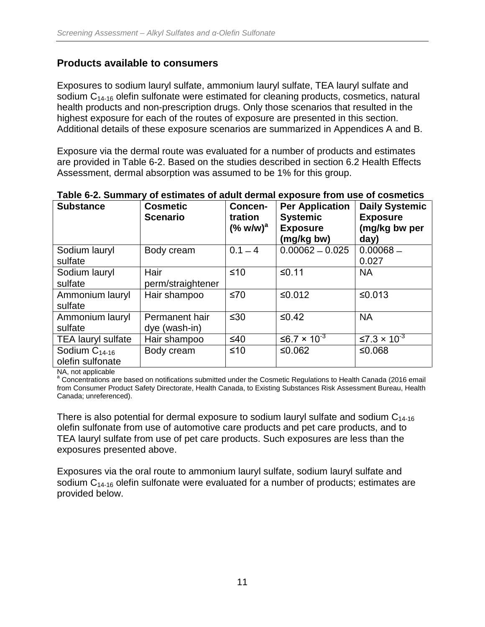#### **Products available to consumers**

Exposures to sodium lauryl sulfate, ammonium lauryl sulfate, TEA lauryl sulfate and sodium  $C_{14-16}$  olefin sulfonate were estimated for cleaning products, cosmetics, natural health products and non-prescription drugs. Only those scenarios that resulted in the highest exposure for each of the routes of exposure are presented in this section. Additional details of these exposure scenarios are summarized in Appendices A and B.

Exposure via the dermal route was evaluated for a number of products and estimates are provided in Table 6-2. Based on the studies described in section 6.2 Health Effects Assessment, dermal absorption was assumed to be 1% for this group.

| <b>Substance</b>           | <b>Cosmetic</b><br><b>Scenario</b> | Concen-<br>tration<br>$(% w/w)^a$ | <b>Per Application</b><br><b>Systemic</b><br><b>Exposure</b><br>(mg/kg bw) | <b>Daily Systemic</b><br><b>Exposure</b><br>(mg/kg bw per<br>day) |
|----------------------------|------------------------------------|-----------------------------------|----------------------------------------------------------------------------|-------------------------------------------------------------------|
| Sodium lauryl<br>sulfate   | Body cream                         | $0.1 - 4$                         | $0.00062 - 0.025$                                                          | $0.00068 -$<br>0.027                                              |
|                            |                                    |                                   |                                                                            |                                                                   |
| Sodium lauryl              | Hair                               | $≤10$                             | ≤0.11                                                                      | <b>NA</b>                                                         |
| sulfate                    | perm/straightener                  |                                   |                                                                            |                                                                   |
| Ammonium lauryl<br>sulfate | Hair shampoo                       | ≤70                               | ≤0.012                                                                     | ≤0.013                                                            |
| Ammonium lauryl            | Permanent hair                     | $\leq 30$                         | $≤0.42$                                                                    | <b>NA</b>                                                         |
| sulfate                    | dye (wash-in)                      |                                   |                                                                            |                                                                   |
| <b>TEA lauryl sulfate</b>  | Hair shampoo                       | $≤40$                             | ≤6.7 × 10 <sup>-3</sup>                                                    | ≤7.3 $\times$ 10 <sup>-3</sup>                                    |
| Sodium $C_{14-16}$         | Body cream                         | $≤10$                             | ≤0.062                                                                     | ≤0.068                                                            |
| olefin sulfonate           |                                    |                                   |                                                                            |                                                                   |

#### <span id="page-17-0"></span>**Table 6-2. Summary of estimates of adult dermal exposure from use of cosmetics**

NA, not applicable<br><sup>a</sup> Concentrations are based on notifications submitted under the Cosmetic Regulations to Health Canada (2016 email from Consumer Product Safety Directorate, Health Canada, to Existing Substances Risk Assessment Bureau, Health Canada; unreferenced).

There is also potential for dermal exposure to sodium lauryl sulfate and sodium  $C_{14-16}$ olefin sulfonate from use of automotive care products and pet care products, and to TEA lauryl sulfate from use of pet care products. Such exposures are less than the exposures presented above.

Exposures via the oral route to ammonium lauryl sulfate, sodium lauryl sulfate and sodium  $C_{14-16}$  olefin sulfonate were evaluated for a number of products; estimates are provided below.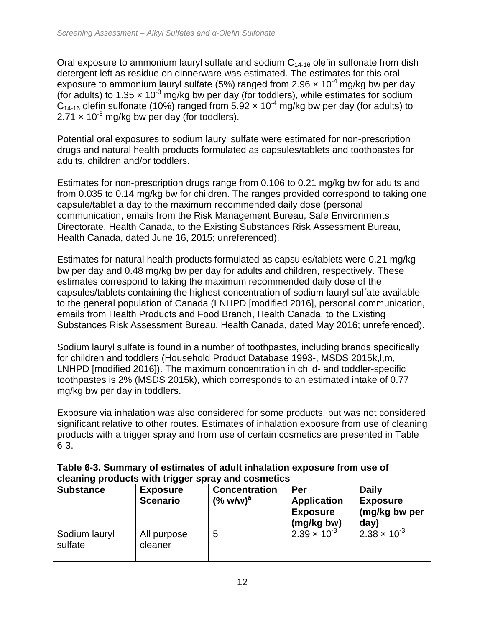Oral exposure to ammonium lauryl sulfate and sodium  $C_{14-16}$  olefin sulfonate from dish detergent left as residue on dinnerware was estimated. The estimates for this oral exposure to ammonium lauryl sulfate (5%) ranged from 2.96  $\times$  10<sup>-4</sup> mg/kg bw per day (for adults) to 1.35  $\times$  10<sup>-3</sup> mg/kg bw per day (for toddlers), while estimates for sodium  $C_{14-16}$  olefin sulfonate (10%) ranged from 5.92  $\times$  10<sup>-4</sup> mg/kg bw per day (for adults) to  $2.71 \times 10^{-3}$  mg/kg bw per day (for toddlers).

Potential oral exposures to sodium lauryl sulfate were estimated for non-prescription drugs and natural health products formulated as capsules/tablets and toothpastes for adults, children and/or toddlers.

Estimates for non-prescription drugs range from 0.106 to 0.21 mg/kg bw for adults and from 0.035 to 0.14 mg/kg bw for children. The ranges provided correspond to taking one capsule/tablet a day to the maximum recommended daily dose (personal communication, emails from the Risk Management Bureau, Safe Environments Directorate, Health Canada, to the Existing Substances Risk Assessment Bureau, Health Canada, dated June 16, 2015; unreferenced).

Estimates for natural health products formulated as capsules/tablets were 0.21 mg/kg bw per day and 0.48 mg/kg bw per day for adults and children, respectively. These estimates correspond to taking the maximum recommended daily dose of the capsules/tablets containing the highest concentration of sodium lauryl sulfate available to the general population of Canada (LNHPD [modified 2016], personal communication, emails from Health Products and Food Branch, Health Canada, to the Existing Substances Risk Assessment Bureau, Health Canada, dated May 2016; unreferenced).

Sodium lauryl sulfate is found in a number of toothpastes, including brands specifically for children and toddlers (Household Product Database 1993-, MSDS 2015k,l,m, LNHPD [modified 2016]). The maximum concentration in child- and toddler-specific toothpastes is 2% (MSDS 2015k), which corresponds to an estimated intake of 0.77 mg/kg bw per day in toddlers.

Exposure via inhalation was also considered for some products, but was not considered significant relative to other routes. Estimates of inhalation exposure from use of cleaning products with a trigger spray and from use of certain cosmetics are presented in Table 6-3.

<span id="page-18-0"></span>

| Table 6-3. Summary of estimates of adult inhalation exposure from use of |  |
|--------------------------------------------------------------------------|--|
| cleaning products with trigger spray and cosmetics                       |  |
|                                                                          |  |

| <b>Substance</b>         | <b>Exposure</b><br><b>Scenario</b> | <b>Concentration</b><br>$(%$ w/w) <sup>a</sup> | Per<br><b>Application</b><br><b>Exposure</b><br>(mg/kg bw) | <b>Daily</b><br><b>Exposure</b><br>(mg/kg bw per<br>day) |
|--------------------------|------------------------------------|------------------------------------------------|------------------------------------------------------------|----------------------------------------------------------|
| Sodium lauryl<br>sulfate | All purpose<br>cleaner             | 5                                              | $2.39 \times 10^{-3}$                                      | $2.38 \times 10^{-3}$                                    |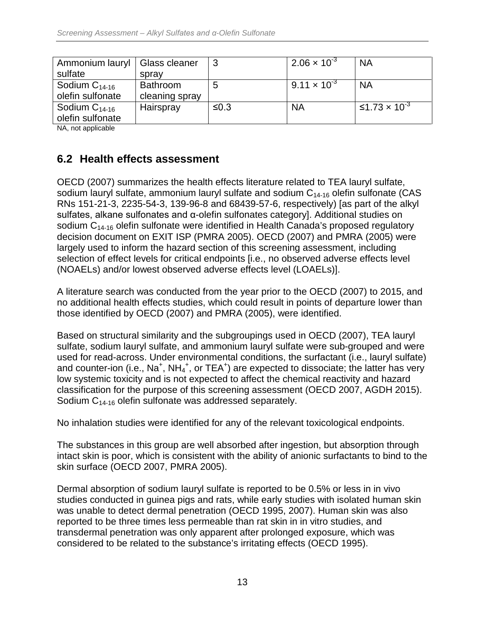| Ammonium lauryl   Glass cleaner<br>sulfate | spray                             | 3    | $2.06 \times 10^{-3}$ | <b>NA</b>                       |
|--------------------------------------------|-----------------------------------|------|-----------------------|---------------------------------|
| Sodium $C_{14-16}$<br>olefin sulfonate     | <b>Bathroom</b><br>cleaning spray | 5    | $9.11 \times 10^{-3}$ | <b>NA</b>                       |
| Sodium $C_{14-16}$<br>olefin sulfonate     | Hairspray                         | ≤0.3 | <b>NA</b>             | ≤1.73 $\times$ 10 <sup>-3</sup> |

NA, not applicable

### <span id="page-19-0"></span>**6.2 Health effects assessment**

OECD (2007) summarizes the health effects literature related to TEA lauryl sulfate, sodium lauryl sulfate, ammonium lauryl sulfate and sodium  $C_{14-16}$  olefin sulfonate (CAS RNs 151-21-3, 2235-54-3, 139-96-8 and 68439-57-6, respectively) [as part of the alkyl sulfates, alkane sulfonates and α-olefin sulfonates category]. Additional studies on sodium  $C_{14-16}$  olefin sulfonate were identified in Health Canada's proposed regulatory decision document on EXIT ISP (PMRA 2005). OECD (2007) and PMRA (2005) were largely used to inform the hazard section of this screening assessment, including selection of effect levels for critical endpoints [i.e., no observed adverse effects level (NOAELs) and/or lowest observed adverse effects level (LOAELs)].

A literature search was conducted from the year prior to the OECD (2007) to 2015, and no additional health effects studies, which could result in points of departure lower than those identified by OECD (2007) and PMRA (2005), were identified.

Based on structural similarity and the subgroupings used in OECD (2007), TEA lauryl sulfate, sodium lauryl sulfate, and ammonium lauryl sulfate were sub-grouped and were used for read-across. Under environmental conditions, the surfactant (i.e., lauryl sulfate) and counter-ion (i.e., Na<sup>+</sup>, NH<sub>4</sub><sup>+</sup>, or TEA<sup>+</sup>) are expected to dissociate; the latter has very low systemic toxicity and is not expected to affect the chemical reactivity and hazard classification for the purpose of this screening assessment (OECD 2007, AGDH 2015). Sodium C<sub>14-16</sub> olefin sulfonate was addressed separately.

No inhalation studies were identified for any of the relevant toxicological endpoints.

The substances in this group are well absorbed after ingestion, but absorption through intact skin is poor, which is consistent with the ability of anionic surfactants to bind to the skin surface (OECD 2007, PMRA 2005).

Dermal absorption of sodium lauryl sulfate is reported to be 0.5% or less in in vivo studies conducted in guinea pigs and rats, while early studies with isolated human skin was unable to detect dermal penetration (OECD 1995, 2007). Human skin was also reported to be three times less permeable than rat skin in in vitro studies, and transdermal penetration was only apparent after prolonged exposure, which was considered to be related to the substance's irritating effects (OECD 1995).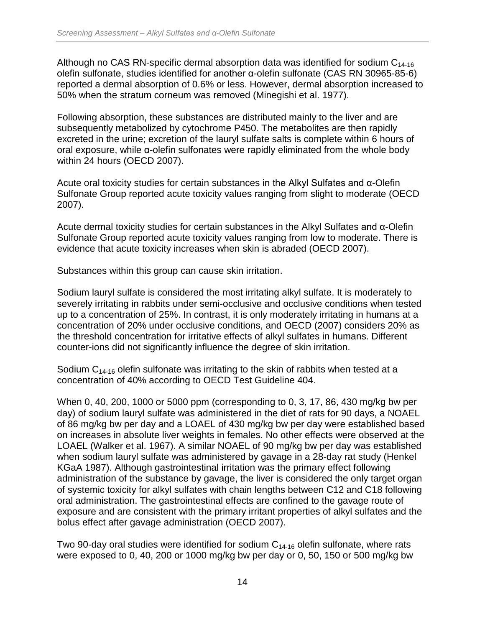Although no CAS RN-specific dermal absorption data was identified for sodium  $C_{14-16}$ olefin sulfonate, studies identified for another α-olefin sulfonate (CAS RN 30965-85-6) reported a dermal absorption of 0.6% or less. However, dermal absorption increased to 50% when the stratum corneum was removed (Minegishi et al. 1977).

Following absorption, these substances are distributed mainly to the liver and are subsequently metabolized by cytochrome P450. The metabolites are then rapidly excreted in the urine; excretion of the lauryl sulfate salts is complete within 6 hours of oral exposure, while α-olefin sulfonates were rapidly eliminated from the whole body within 24 hours (OECD 2007).

Acute oral toxicity studies for certain substances in the Alkyl Sulfates and α-Olefin Sulfonate Group reported acute toxicity values ranging from slight to moderate (OECD 2007).

Acute dermal toxicity studies for certain substances in the Alkyl Sulfates and α-Olefin Sulfonate Group reported acute toxicity values ranging from low to moderate. There is evidence that acute toxicity increases when skin is abraded (OECD 2007).

Substances within this group can cause skin irritation.

Sodium lauryl sulfate is considered the most irritating alkyl sulfate. It is moderately to severely irritating in rabbits under semi-occlusive and occlusive conditions when tested up to a concentration of 25%. In contrast, it is only moderately irritating in humans at a concentration of 20% under occlusive conditions, and OECD (2007) considers 20% as the threshold concentration for irritative effects of alkyl sulfates in humans. Different counter-ions did not significantly influence the degree of skin irritation.

Sodium  $C_{14-16}$  olefin sulfonate was irritating to the skin of rabbits when tested at a concentration of 40% according to OECD Test Guideline 404.

When 0, 40, 200, 1000 or 5000 ppm (corresponding to 0, 3, 17, 86, 430 mg/kg bw per day) of sodium lauryl sulfate was administered in the diet of rats for 90 days, a NOAEL of 86 mg/kg bw per day and a LOAEL of 430 mg/kg bw per day were established based on increases in absolute liver weights in females. No other effects were observed at the LOAEL (Walker et al. 1967). A similar NOAEL of 90 mg/kg bw per day was established when sodium lauryl sulfate was administered by gavage in a 28-day rat study (Henkel KGaA 1987). Although gastrointestinal irritation was the primary effect following administration of the substance by gavage, the liver is considered the only target organ of systemic toxicity for alkyl sulfates with chain lengths between C12 and C18 following oral administration. The gastrointestinal effects are confined to the gavage route of exposure and are consistent with the primary irritant properties of alkyl sulfates and the bolus effect after gavage administration (OECD 2007).

Two 90-day oral studies were identified for sodium  $C_{14-16}$  olefin sulfonate, where rats were exposed to 0, 40, 200 or 1000 mg/kg bw per day or 0, 50, 150 or 500 mg/kg bw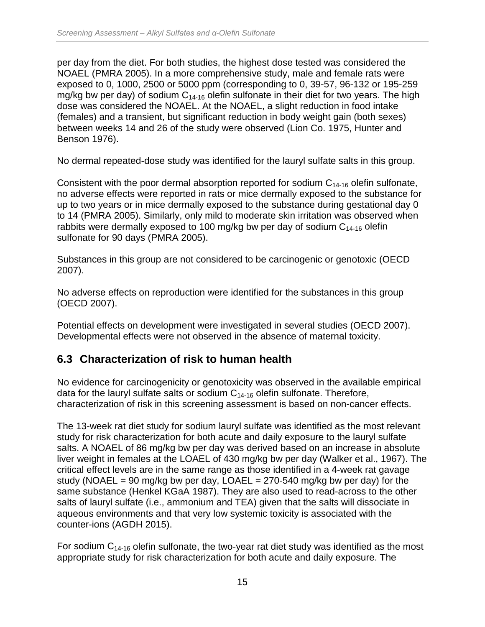per day from the diet. For both studies, the highest dose tested was considered the NOAEL (PMRA 2005). In a more comprehensive study, male and female rats were exposed to 0, 1000, 2500 or 5000 ppm (corresponding to 0, 39-57, 96-132 or 195-259 mg/kg bw per day) of sodium  $C_{14-16}$  olefin sulfonate in their diet for two years. The high dose was considered the NOAEL. At the NOAEL, a slight reduction in food intake (females) and a transient, but significant reduction in body weight gain (both sexes) between weeks 14 and 26 of the study were observed (Lion Co. 1975, Hunter and Benson 1976).

No dermal repeated-dose study was identified for the lauryl sulfate salts in this group.

Consistent with the poor dermal absorption reported for sodium  $C_{14-16}$  olefin sulfonate, no adverse effects were reported in rats or mice dermally exposed to the substance for up to two years or in mice dermally exposed to the substance during gestational day 0 to 14 (PMRA 2005). Similarly, only mild to moderate skin irritation was observed when rabbits were dermally exposed to 100 mg/kg bw per day of sodium  $C_{14-16}$  olefin sulfonate for 90 days (PMRA 2005).

Substances in this group are not considered to be carcinogenic or genotoxic (OECD 2007).

No adverse effects on reproduction were identified for the substances in this group (OECD 2007).

Potential effects on development were investigated in several studies (OECD 2007). Developmental effects were not observed in the absence of maternal toxicity.

### <span id="page-21-0"></span>**6.3 Characterization of risk to human health**

No evidence for carcinogenicity or genotoxicity was observed in the available empirical data for the lauryl sulfate salts or sodium  $C_{14-16}$  olefin sulfonate. Therefore, characterization of risk in this screening assessment is based on non-cancer effects.

The 13-week rat diet study for sodium lauryl sulfate was identified as the most relevant study for risk characterization for both acute and daily exposure to the lauryl sulfate salts. A NOAEL of 86 mg/kg bw per day was derived based on an increase in absolute liver weight in females at the LOAEL of 430 mg/kg bw per day (Walker et al., 1967). The critical effect levels are in the same range as those identified in a 4-week rat gavage study (NOAEL = 90 mg/kg bw per day, LOAEL = 270-540 mg/kg bw per day) for the same substance (Henkel KGaA 1987). They are also used to read-across to the other salts of lauryl sulfate (i.e., ammonium and TEA) given that the salts will dissociate in aqueous environments and that very low systemic toxicity is associated with the counter-ions (AGDH 2015).

For sodium  $C_{14-16}$  olefin sulfonate, the two-year rat diet study was identified as the most appropriate study for risk characterization for both acute and daily exposure. The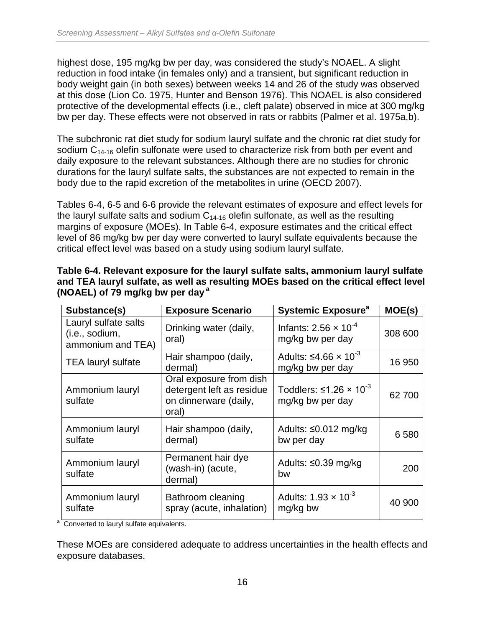highest dose, 195 mg/kg bw per day, was considered the study's NOAEL. A slight reduction in food intake (in females only) and a transient, but significant reduction in body weight gain (in both sexes) between weeks 14 and 26 of the study was observed at this dose (Lion Co. 1975, Hunter and Benson 1976). This NOAEL is also considered protective of the developmental effects (i.e., cleft palate) observed in mice at 300 mg/kg bw per day. These effects were not observed in rats or rabbits (Palmer et al. 1975a,b).

The subchronic rat diet study for sodium lauryl sulfate and the chronic rat diet study for sodium  $C_{14-16}$  olefin sulfonate were used to characterize risk from both per event and daily exposure to the relevant substances. Although there are no studies for chronic durations for the lauryl sulfate salts, the substances are not expected to remain in the body due to the rapid excretion of the metabolites in urine (OECD 2007).

Tables 6-4, 6-5 and 6-6 provide the relevant estimates of exposure and effect levels for the lauryl sulfate salts and sodium  $C_{14-16}$  olefin sulfonate, as well as the resulting margins of exposure (MOEs). In Table 6-4, exposure estimates and the critical effect level of 86 mg/kg bw per day were converted to lauryl sulfate equivalents because the critical effect level was based on a study using sodium lauryl sulfate.

| Substance(s)                                                | <b>Exposure Scenario</b>                                                               | <b>Systemic Exposure<sup>a</sup></b>                        | MOE(s)  |
|-------------------------------------------------------------|----------------------------------------------------------------------------------------|-------------------------------------------------------------|---------|
| Lauryl sulfate salts<br>(i.e., sodium,<br>ammonium and TEA) | Drinking water (daily,<br>oral)                                                        | Infants: 2.56 $\times$ 10 <sup>-4</sup><br>mg/kg bw per day | 308 600 |
| <b>TEA lauryl sulfate</b>                                   | Hair shampoo (daily,<br>dermal)                                                        | Adults: $\leq 4.66 \times 10^{-3}$<br>mg/kg bw per day      | 16 950  |
| Ammonium lauryl<br>sulfate                                  | Oral exposure from dish<br>detergent left as residue<br>on dinnerware (daily,<br>oral) | Toddlers: $\leq 1.26 \times 10^{-3}$<br>mg/kg bw per day    | 62 700  |
| Ammonium lauryl<br>sulfate                                  | Hair shampoo (daily,<br>dermal)                                                        | Adults: $\leq 0.012$ mg/kg<br>bw per day                    | 6 5 8 0 |
| Ammonium lauryl<br>sulfate                                  | Permanent hair dye<br>(wash-in) (acute,<br>dermal)                                     | Adults: ≤0.39 mg/kg<br>bw                                   | 200     |
| Ammonium lauryl<br>sulfate                                  | Bathroom cleaning<br>spray (acute, inhalation)                                         | Adults: $1.93 \times 10^{-3}$<br>mg/kg bw                   | 40 900  |

<span id="page-22-0"></span>

| Table 6-4. Relevant exposure for the lauryl sulfate salts, ammonium lauryl sulfate   |
|--------------------------------------------------------------------------------------|
| and TEA lauryl sulfate, as well as resulting MOEs based on the critical effect level |
| (NOAEL) of 79 mg/kg bw per day $a$                                                   |

a Converted to lauryl sulfate equivalents.

These MOEs are considered adequate to address uncertainties in the health effects and exposure databases.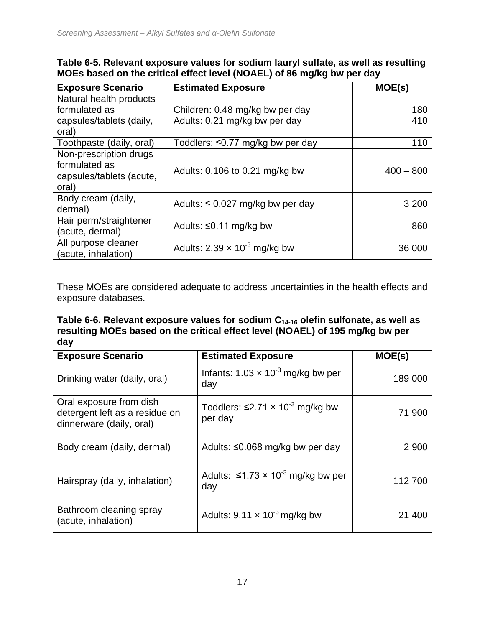| <b>Exposure Scenario</b>                                                     | <b>Estimated Exposure</b>              | MOE(s)      |
|------------------------------------------------------------------------------|----------------------------------------|-------------|
| Natural health products                                                      |                                        |             |
| formulated as                                                                | Children: 0.48 mg/kg bw per day        | 180         |
| capsules/tablets (daily,<br>oral)                                            | Adults: 0.21 mg/kg bw per day          | 410         |
| Toothpaste (daily, oral)                                                     | Toddlers: ≤0.77 mg/kg bw per day       | 110         |
| Non-prescription drugs<br>formulated as<br>capsules/tablets (acute,<br>oral) | Adults: 0.106 to 0.21 mg/kg bw         | $400 - 800$ |
| Body cream (daily,<br>dermal)                                                | Adults: $\leq$ 0.027 mg/kg bw per day  | 3 200       |
| Hair perm/straightener<br>(acute, dermal)                                    | Adults: $\leq$ 0.11 mg/kg bw           | 860         |
| All purpose cleaner<br>(acute, inhalation)                                   | Adults: $2.39 \times 10^{-3}$ mg/kg bw | 36 000      |

#### <span id="page-23-0"></span>**Table 6-5. Relevant exposure values for sodium lauryl sulfate, as well as resulting MOEs based on the critical effect level (NOAEL) of 86 mg/kg bw per day**

These MOEs are considered adequate to address uncertainties in the health effects and exposure databases.

<span id="page-23-1"></span>**Table 6-6. Relevant exposure values for sodium C14-16 olefin sulfonate, as well as resulting MOEs based on the critical effect level (NOAEL) of 195 mg/kg bw per day**

| <b>Exposure Scenario</b>                                                              | <b>Estimated Exposure</b>                                    | MOE(s)  |
|---------------------------------------------------------------------------------------|--------------------------------------------------------------|---------|
| Drinking water (daily, oral)                                                          | Infants: $1.03 \times 10^{-3}$ mg/kg bw per<br>day           | 189 000 |
| Oral exposure from dish<br>detergent left as a residue on<br>dinnerware (daily, oral) | Toddlers: $\leq$ 2.71 × 10 <sup>-3</sup> mg/kg bw<br>per day | 71 900  |
| Body cream (daily, dermal)                                                            | Adults: $\leq 0.068$ mg/kg bw per day                        | 2 9 0 0 |
| Hairspray (daily, inhalation)                                                         | Adults: $\leq 1.73 \times 10^{-3}$ mg/kg bw per<br>day       | 112700  |
| Bathroom cleaning spray<br>(acute, inhalation)                                        | Adults: $9.11 \times 10^{-3}$ mg/kg bw                       | 21 40C  |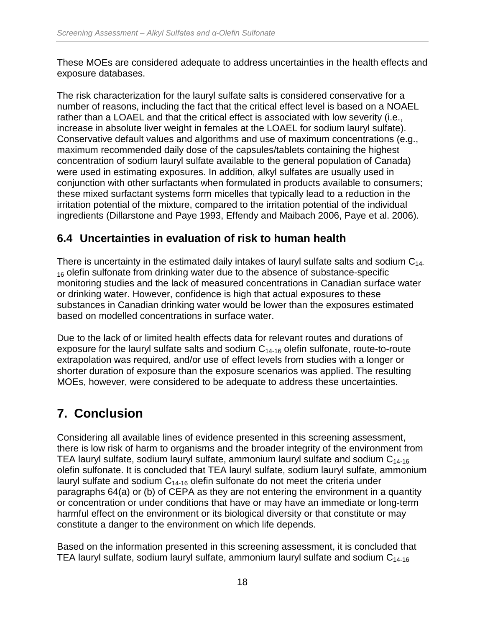These MOEs are considered adequate to address uncertainties in the health effects and exposure databases.

The risk characterization for the lauryl sulfate salts is considered conservative for a number of reasons, including the fact that the critical effect level is based on a NOAEL rather than a LOAEL and that the critical effect is associated with low severity (i.e., increase in absolute liver weight in females at the LOAEL for sodium lauryl sulfate). Conservative default values and algorithms and use of maximum concentrations (e.g., maximum recommended daily dose of the capsules/tablets containing the highest concentration of sodium lauryl sulfate available to the general population of Canada) were used in estimating exposures. In addition, alkyl sulfates are usually used in conjunction with other surfactants when formulated in products available to consumers; these mixed surfactant systems form micelles that typically lead to a reduction in the irritation potential of the mixture, compared to the irritation potential of the individual ingredients (Dillarstone and Paye 1993, Effendy and Maibach 2006, Paye et al. 2006).

### <span id="page-24-0"></span>**6.4 Uncertainties in evaluation of risk to human health**

There is uncertainty in the estimated daily intakes of lauryl sulfate salts and sodium  $C_{14}$ .  $16$  olefin sulfonate from drinking water due to the absence of substance-specific monitoring studies and the lack of measured concentrations in Canadian surface water or drinking water. However, confidence is high that actual exposures to these substances in Canadian drinking water would be lower than the exposures estimated based on modelled concentrations in surface water.

Due to the lack of or limited health effects data for relevant routes and durations of exposure for the lauryl sulfate salts and sodium  $C_{14-16}$  olefin sulfonate, route-to-route extrapolation was required, and/or use of effect levels from studies with a longer or shorter duration of exposure than the exposure scenarios was applied. The resulting MOEs, however, were considered to be adequate to address these uncertainties.

# <span id="page-24-1"></span>**7. Conclusion**

Considering all available lines of evidence presented in this screening assessment, there is low risk of harm to organisms and the broader integrity of the environment from TEA lauryl sulfate, sodium lauryl sulfate, ammonium lauryl sulfate and sodium  $C_{14-16}$ olefin sulfonate. It is concluded that TEA lauryl sulfate, sodium lauryl sulfate, ammonium lauryl sulfate and sodium  $C_{14-16}$  olefin sulfonate do not meet the criteria under paragraphs 64(a) or (b) of CEPA as they are not entering the environment in a quantity or concentration or under conditions that have or may have an immediate or long-term harmful effect on the environment or its biological diversity or that constitute or may constitute a danger to the environment on which life depends.

Based on the information presented in this screening assessment, it is concluded that TEA lauryl sulfate, sodium lauryl sulfate, ammonium lauryl sulfate and sodium  $C_{14-16}$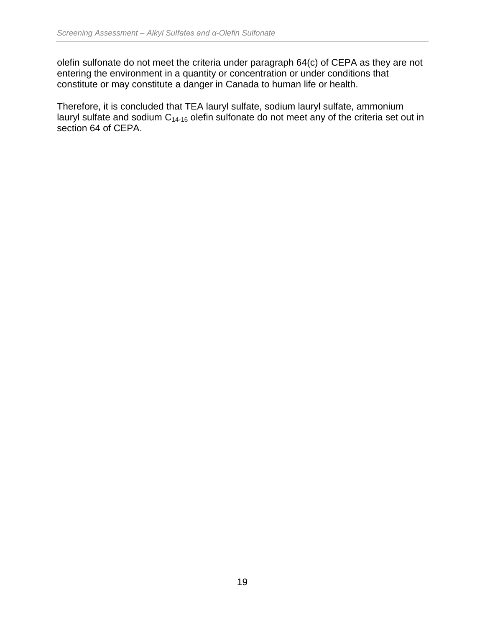olefin sulfonate do not meet the criteria under paragraph 64(c) of CEPA as they are not entering the environment in a quantity or concentration or under conditions that constitute or may constitute a danger in Canada to human life or health.

Therefore, it is concluded that TEA lauryl sulfate, sodium lauryl sulfate, ammonium lauryl sulfate and sodium  $C_{14-16}$  olefin sulfonate do not meet any of the criteria set out in section 64 of CEPA.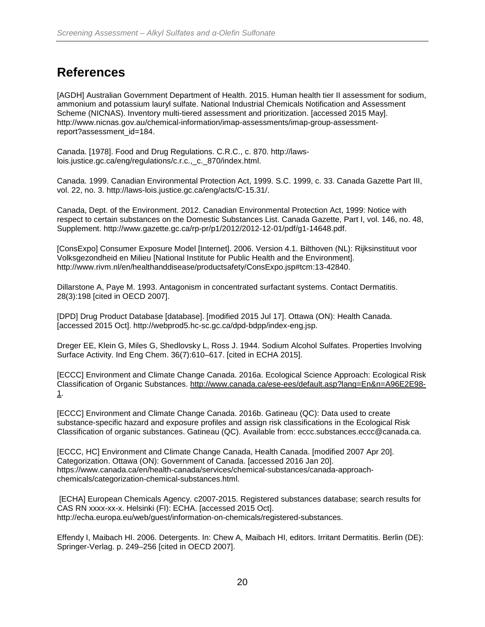### <span id="page-26-0"></span>**References**

[AGDH] Australian Government Department of Health. 2015. Human health tier II assessment for sodium, ammonium and potassium lauryl sulfate. National Industrial Chemicals Notification and Assessment Scheme (NICNAS). Inventory multi-tiered assessment and prioritization. [accessed 2015 May]. http://www.nicnas.gov.au/chemical-information/imap-assessments/imap-group-assessmentreport?assessment\_id=184.

Canada. [1978]. Food and Drug Regulations. C.R.C., c. 870. http://lawslois.justice.gc.ca/eng/regulations/c.r.c.,\_c.\_870/index.html.

Canada. 1999. Canadian Environmental Protection Act, 1999. S.C. 1999, c. 33. Canada Gazette Part III, vol. 22, no. 3. http://laws-lois.justice.gc.ca/eng/acts/C-15.31/.

Canada, Dept. of the Environment. 2012. Canadian Environmental Protection Act, 1999: Notice with respect to certain substances on the Domestic Substances List. Canada Gazette, Part I, vol. 146, no. 48, Supplement. http://www.gazette.gc.ca/rp-pr/p1/2012/2012-12-01/pdf/g1-14648.pdf.

[ConsExpo] Consumer Exposure Model [Internet]. 2006. Version 4.1. Bilthoven (NL): Rijksinstituut voor Volksgezondheid en Milieu [National Institute for Public Health and the Environment]. http://www.rivm.nl/en/healthanddisease/productsafety/ConsExpo.jsp#tcm:13-42840.

Dillarstone A, Paye M. 1993. Antagonism in concentrated surfactant systems. Contact Dermatitis. 28(3):198 [cited in OECD 2007].

[DPD] Drug Product Database [database]. [modified 2015 Jul 17]. Ottawa (ON): Health Canada. [accessed 2015 Oct]. http://webprod5.hc-sc.gc.ca/dpd-bdpp/index-eng.jsp.

Dreger EE, Klein G, Miles G, Shedlovsky L, Ross J. 1944. Sodium Alcohol Sulfates. Properties Involving Surface Activity. Ind Eng Chem. 36(7):610–617. [cited in ECHA 2015].

[ECCC] Environment and Climate Change Canada. 2016a. Ecological Science Approach: Ecological Risk Classification of Organic Substances. [http://www.canada.ca/ese-ees/default.asp?lang=En&n=A96E2E98-](http://www.canada.ca/ese-ees/default.asp?lang=En&n=A96E2E98-1) [1.](http://www.canada.ca/ese-ees/default.asp?lang=En&n=A96E2E98-1)

[ECCC] Environment and Climate Change Canada. 2016b. Gatineau (QC): Data used to create substance-specific hazard and exposure profiles and assign risk classifications in the Ecological Risk Classification of organic substances. Gatineau (QC). Available from: eccc.substances.eccc@canada.ca.

[ECCC, HC] Environment and Climate Change Canada, Health Canada. [modified 2007 Apr 20]. Categorization. Ottawa (ON): Government of Canada. [accessed 2016 Jan 20]. https://www.canada.ca/en/health-canada/services/chemical-substances/canada-approachchemicals/categorization-chemical-substances.html.

[ECHA] European Chemicals Agency. c2007-2015. Registered substances database; search results for CAS RN xxxx-xx-x. Helsinki (FI): ECHA. [accessed 2015 Oct]. http://echa.europa.eu/web/guest/information-on-chemicals/registered-substances.

Effendy I, Maibach HI. 2006. Detergents. In: Chew A, Maibach HI, editors. Irritant Dermatitis. Berlin (DE): Springer-Verlag. p. 249–256 [cited in OECD 2007].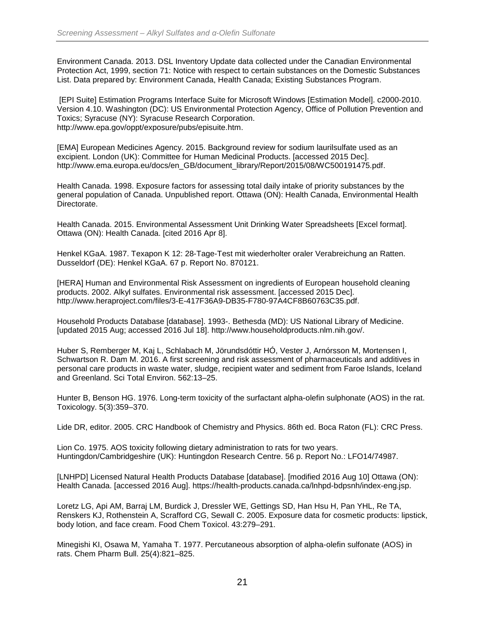Environment Canada. 2013. DSL Inventory Update data collected under the Canadian Environmental Protection Act, 1999, section 71: Notice with respect to certain substances on the Domestic Substances List. Data prepared by: Environment Canada, Health Canada; Existing Substances Program.

[EPI Suite] Estimation Programs Interface Suite for Microsoft Windows [Estimation Model]. c2000-2010. Version 4.10. Washington (DC): US Environmental Protection Agency, Office of Pollution Prevention and Toxics; Syracuse (NY): Syracuse Research Corporation. http://www.epa.gov/oppt/exposure/pubs/episuite.htm.

[EMA] European Medicines Agency. 2015. Background review for sodium laurilsulfate used as an excipient. London (UK): Committee for Human Medicinal Products. [accessed 2015 Dec]. http://www.ema.europa.eu/docs/en\_GB/document\_library/Report/2015/08/WC500191475.pdf.

Health Canada. 1998. Exposure factors for assessing total daily intake of priority substances by the general population of Canada. Unpublished report. Ottawa (ON): Health Canada, Environmental Health Directorate.

Health Canada. 2015. Environmental Assessment Unit Drinking Water Spreadsheets [Excel format]. Ottawa (ON): Health Canada. [cited 2016 Apr 8].

Henkel KGaA. 1987. Texapon K 12: 28-Tage-Test mit wiederholter oraler Verabreichung an Ratten. Dusseldorf (DE): Henkel KGaA. 67 p. Report No. 870121.

[HERA] Human and Environmental Risk Assessment on ingredients of European household cleaning products. 2002. Alkyl sulfates. Environmental risk assessment. [accessed 2015 Dec]. http://www.heraproject.com/files/3-E-417F36A9-DB35-F780-97A4CF8B60763C35.pdf.

Household Products Database [database]. 1993-. Bethesda (MD): US National Library of Medicine. [updated 2015 Aug; accessed 2016 Jul 18]. http://www.householdproducts.nlm.nih.gov/.

Huber S, Remberger M, Kaj L, Schlabach M, Jörundsdóttir HÓ, Vester J, Arnórsson M, Mortensen I, Schwartson R. Dam M. 2016. A first screening and risk assessment of pharmaceuticals and additives in personal care products in waste water, sludge, recipient water and sediment from Faroe Islands, Iceland and Greenland. Sci Total Environ. 562:13–25.

Hunter B, Benson HG. 1976. Long-term toxicity of the surfactant alpha-olefin sulphonate (AOS) in the rat. Toxicology. 5(3):359–370.

Lide DR, editor. 2005. CRC Handbook of Chemistry and Physics. 86th ed. Boca Raton (FL): CRC Press.

Lion Co. 1975. AOS toxicity following dietary administration to rats for two years. Huntingdon/Cambridgeshire (UK): Huntingdon Research Centre. 56 p. Report No.: LFO14/74987.

[LNHPD] Licensed Natural Health Products Database [database]. [modified 2016 Aug 10] Ottawa (ON): Health Canada. [accessed 2016 Aug]. https://health-products.canada.ca/lnhpd-bdpsnh/index-eng.jsp.

Loretz LG, Api AM, Barraj LM, Burdick J, Dressler WE, Gettings SD, Han Hsu H, Pan YHL, Re TA, Renskers KJ, Rothenstein A, Scrafford CG, Sewall C. 2005. Exposure data for cosmetic products: lipstick, body lotion, and face cream. Food Chem Toxicol. 43:279–291.

Minegishi KI, Osawa M, Yamaha T. 1977. Percutaneous absorption of alpha-olefin sulfonate (AOS) in rats. Chem Pharm Bull. 25(4):821–825.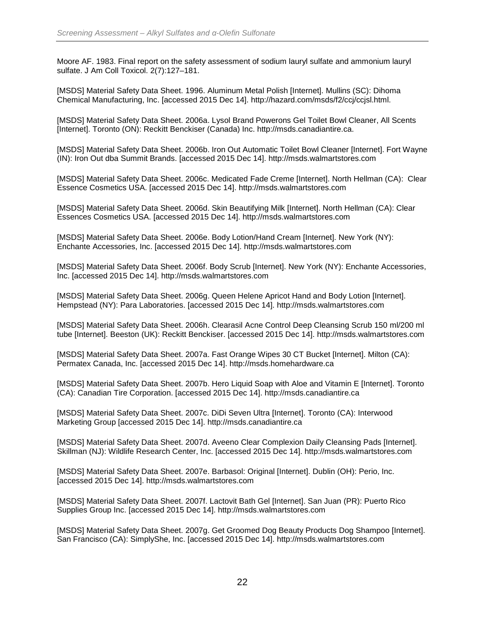Moore AF. 1983. Final report on the safety assessment of sodium lauryl sulfate and ammonium lauryl sulfate. J Am Coll Toxicol. 2(7):127–181.

[MSDS] Material Safety Data Sheet. 1996. Aluminum Metal Polish [Internet]. Mullins (SC): Dihoma Chemical Manufacturing, Inc. [accessed 2015 Dec 14]. http://hazard.com/msds/f2/ccj/ccjsl.html.

[MSDS] Material Safety Data Sheet. 2006a. Lysol Brand Powerons Gel Toilet Bowl Cleaner, All Scents [Internet]. Toronto (ON): Reckitt Benckiser (Canada) Inc. http://msds.canadiantire.ca.

[MSDS] Material Safety Data Sheet. 2006b. Iron Out Automatic Toilet Bowl Cleaner [Internet]. Fort Wayne (IN): Iron Out dba Summit Brands. [accessed 2015 Dec 14]. http://msds.walmartstores.com

[MSDS] Material Safety Data Sheet. 2006c. Medicated Fade Creme [Internet]. North Hellman (CA): Clear Essence Cosmetics USA. [accessed 2015 Dec 14]. http://msds.walmartstores.com

[MSDS] Material Safety Data Sheet. 2006d. Skin Beautifying Milk [Internet]. North Hellman (CA): Clear Essences Cosmetics USA. [accessed 2015 Dec 14]. http://msds.walmartstores.com

[MSDS] Material Safety Data Sheet. 2006e. Body Lotion/Hand Cream [Internet]. New York (NY): Enchante Accessories, Inc. [accessed 2015 Dec 14]. http://msds.walmartstores.com

[MSDS] Material Safety Data Sheet. 2006f. Body Scrub [Internet]. New York (NY): Enchante Accessories, Inc. [accessed 2015 Dec 14]. http://msds.walmartstores.com

[MSDS] Material Safety Data Sheet. 2006g. Queen Helene Apricot Hand and Body Lotion [Internet]. Hempstead (NY): Para Laboratories. [accessed 2015 Dec 14]. http://msds.walmartstores.com

[MSDS] Material Safety Data Sheet. 2006h. Clearasil Acne Control Deep Cleansing Scrub 150 ml/200 ml tube [Internet]. Beeston (UK): Reckitt Benckiser. [accessed 2015 Dec 14]. http://msds.walmartstores.com

[MSDS] Material Safety Data Sheet. 2007a. Fast Orange Wipes 30 CT Bucket [Internet]. Milton (CA): Permatex Canada, Inc. [accessed 2015 Dec 14]. http://msds.homehardware.ca

[MSDS] Material Safety Data Sheet. 2007b. Hero Liquid Soap with Aloe and Vitamin E [Internet]. Toronto (CA): Canadian Tire Corporation. [accessed 2015 Dec 14]. http://msds.canadiantire.ca

[MSDS] Material Safety Data Sheet. 2007c. DiDi Seven Ultra [Internet]. Toronto (CA): Interwood Marketing Group [accessed 2015 Dec 14]. http://msds.canadiantire.ca

[MSDS] Material Safety Data Sheet. 2007d. Aveeno Clear Complexion Daily Cleansing Pads [Internet]. Skillman (NJ): Wildlife Research Center, Inc. [accessed 2015 Dec 14]. http://msds.walmartstores.com

[MSDS] Material Safety Data Sheet. 2007e. Barbasol: Original [Internet]. Dublin (OH): Perio, Inc. [accessed 2015 Dec 14]. http://msds.walmartstores.com

[MSDS] Material Safety Data Sheet. 2007f. Lactovit Bath Gel [Internet]. San Juan (PR): Puerto Rico Supplies Group Inc. [accessed 2015 Dec 14]. http://msds.walmartstores.com

[MSDS] Material Safety Data Sheet. 2007g. Get Groomed Dog Beauty Products Dog Shampoo [Internet]. San Francisco (CA): SimplyShe, Inc. [accessed 2015 Dec 14]. http://msds.walmartstores.com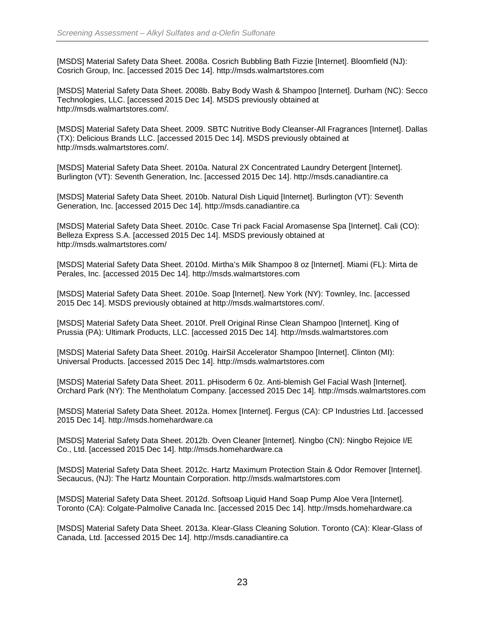[MSDS] Material Safety Data Sheet. 2008a. Cosrich Bubbling Bath Fizzie [Internet]. Bloomfield (NJ): Cosrich Group, Inc. [accessed 2015 Dec 14]. http://msds.walmartstores.com

[MSDS] Material Safety Data Sheet. 2008b. Baby Body Wash & Shampoo [Internet]. Durham (NC): Secco Technologies, LLC. [accessed 2015 Dec 14]. MSDS previously obtained at http://msds.walmartstores.com/.

[MSDS] Material Safety Data Sheet. 2009. SBTC Nutritive Body Cleanser-All Fragrances [Internet]. Dallas (TX): Delicious Brands LLC. [accessed 2015 Dec 14]. MSDS previously obtained at http://msds.walmartstores.com/.

[MSDS] Material Safety Data Sheet. 2010a. Natural 2X Concentrated Laundry Detergent [Internet]. Burlington (VT): Seventh Generation, Inc. [accessed 2015 Dec 14]. http://msds.canadiantire.ca

[MSDS] Material Safety Data Sheet. 2010b. Natural Dish Liquid [Internet]. Burlington (VT): Seventh Generation, Inc. [accessed 2015 Dec 14]. http://msds.canadiantire.ca

[MSDS] Material Safety Data Sheet. 2010c. Case Tri pack Facial Aromasense Spa [Internet]. Cali (CO): Belleza Express S.A. [accessed 2015 Dec 14]. MSDS previously obtained at http://msds.walmartstores.com/

[MSDS] Material Safety Data Sheet. 2010d. Mirtha's Milk Shampoo 8 oz [Internet]. Miami (FL): Mirta de Perales, Inc. [accessed 2015 Dec 14]. http://msds.walmartstores.com

[MSDS] Material Safety Data Sheet. 2010e. Soap [Internet]. New York (NY): Townley, Inc. [accessed 2015 Dec 14]. MSDS previously obtained at http://msds.walmartstores.com/.

[MSDS] Material Safety Data Sheet. 2010f. Prell Original Rinse Clean Shampoo [Internet]. King of Prussia (PA): Ultimark Products, LLC. [accessed 2015 Dec 14]. http://msds.walmartstores.com

[MSDS] Material Safety Data Sheet. 2010g. HairSil Accelerator Shampoo [Internet]. Clinton (MI): Universal Products. [accessed 2015 Dec 14]. http://msds.walmartstores.com

[MSDS] Material Safety Data Sheet. 2011. pHisoderm 6 0z. Anti-blemish Gel Facial Wash [Internet]. Orchard Park (NY): The Mentholatum Company. [accessed 2015 Dec 14]. http://msds.walmartstores.com

[MSDS] Material Safety Data Sheet. 2012a. Homex [Internet]. Fergus (CA): CP Industries Ltd. [accessed 2015 Dec 14]. http://msds.homehardware.ca

[MSDS] Material Safety Data Sheet. 2012b. Oven Cleaner [Internet]. Ningbo (CN): Ningbo Rejoice I/E Co., Ltd. [accessed 2015 Dec 14]. http://msds.homehardware.ca

[MSDS] Material Safety Data Sheet. 2012c. Hartz Maximum Protection Stain & Odor Remover [Internet]. Secaucus, (NJ): The Hartz Mountain Corporation. http://msds.walmartstores.com

[MSDS] Material Safety Data Sheet. 2012d. Softsoap Liquid Hand Soap Pump Aloe Vera [Internet]. Toronto (CA): Colgate-Palmolive Canada Inc. [accessed 2015 Dec 14]. http://msds.homehardware.ca

[MSDS] Material Safety Data Sheet. 2013a. Klear-Glass Cleaning Solution. Toronto (CA): Klear-Glass of Canada, Ltd. [accessed 2015 Dec 14]. http://msds.canadiantire.ca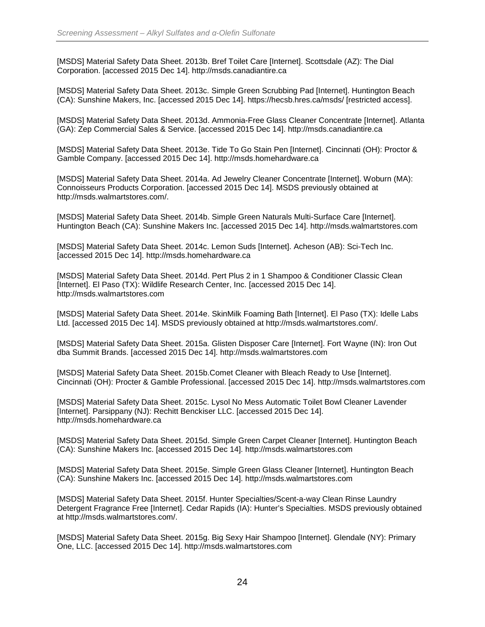[MSDS] Material Safety Data Sheet. 2013b. Bref Toilet Care [Internet]. Scottsdale (AZ): The Dial Corporation. [accessed 2015 Dec 14]. http://msds.canadiantire.ca

[MSDS] Material Safety Data Sheet. 2013c. Simple Green Scrubbing Pad [Internet]. Huntington Beach (CA): Sunshine Makers, Inc. [accessed 2015 Dec 14]. https://hecsb.hres.ca/msds/ [restricted access].

[MSDS] Material Safety Data Sheet. 2013d. Ammonia-Free Glass Cleaner Concentrate [Internet]. Atlanta (GA): Zep Commercial Sales & Service. [accessed 2015 Dec 14]. http://msds.canadiantire.ca

[MSDS] Material Safety Data Sheet. 2013e. Tide To Go Stain Pen [Internet]. Cincinnati (OH): Proctor & Gamble Company. [accessed 2015 Dec 14]. http://msds.homehardware.ca

[MSDS] Material Safety Data Sheet. 2014a. Ad Jewelry Cleaner Concentrate [Internet]. Woburn (MA): Connoisseurs Products Corporation. [accessed 2015 Dec 14]. MSDS previously obtained at http://msds.walmartstores.com/.

[MSDS] Material Safety Data Sheet. 2014b. Simple Green Naturals Multi-Surface Care [Internet]. Huntington Beach (CA): Sunshine Makers Inc. [accessed 2015 Dec 14]. http://msds.walmartstores.com

[MSDS] Material Safety Data Sheet. 2014c. Lemon Suds [Internet]. Acheson (AB): Sci-Tech Inc. [accessed 2015 Dec 14]. http://msds.homehardware.ca

[MSDS] Material Safety Data Sheet. 2014d. Pert Plus 2 in 1 Shampoo & Conditioner Classic Clean [Internet]. El Paso (TX): Wildlife Research Center, Inc. [accessed 2015 Dec 14]. http://msds.walmartstores.com

[MSDS] Material Safety Data Sheet. 2014e. SkinMilk Foaming Bath [Internet]. El Paso (TX): Idelle Labs Ltd. [accessed 2015 Dec 14]. MSDS previously obtained at http://msds.walmartstores.com/.

[MSDS] Material Safety Data Sheet. 2015a. Glisten Disposer Care [Internet]. Fort Wayne (IN): Iron Out dba Summit Brands. [accessed 2015 Dec 14]. http://msds.walmartstores.com

[MSDS] Material Safety Data Sheet. 2015b.Comet Cleaner with Bleach Ready to Use [Internet]. Cincinnati (OH): Procter & Gamble Professional. [accessed 2015 Dec 14]. http://msds.walmartstores.com

[MSDS] Material Safety Data Sheet. 2015c. Lysol No Mess Automatic Toilet Bowl Cleaner Lavender [Internet]. Parsippany (NJ): Rechitt Benckiser LLC. [accessed 2015 Dec 14]. http://msds.homehardware.ca

[MSDS] Material Safety Data Sheet. 2015d. Simple Green Carpet Cleaner [Internet]. Huntington Beach (CA): Sunshine Makers Inc. [accessed 2015 Dec 14]. http://msds.walmartstores.com

[MSDS] Material Safety Data Sheet. 2015e. Simple Green Glass Cleaner [Internet]. Huntington Beach (CA): Sunshine Makers Inc. [accessed 2015 Dec 14]. http://msds.walmartstores.com

[MSDS] Material Safety Data Sheet. 2015f. Hunter Specialties/Scent-a-way Clean Rinse Laundry Detergent Fragrance Free [Internet]. Cedar Rapids (IA): Hunter's Specialties. MSDS previously obtained at http://msds.walmartstores.com/.

[MSDS] Material Safety Data Sheet. 2015g. Big Sexy Hair Shampoo [Internet]. Glendale (NY): Primary One, LLC. [accessed 2015 Dec 14]. http://msds.walmartstores.com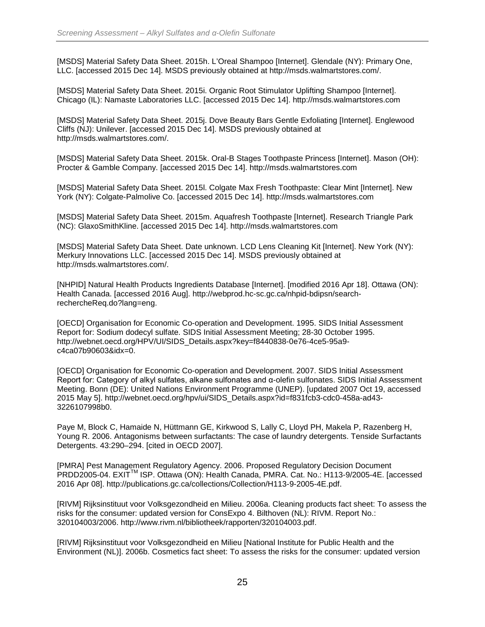[MSDS] Material Safety Data Sheet. 2015h. L'Oreal Shampoo [Internet]. Glendale (NY): Primary One, LLC. [accessed 2015 Dec 14]. MSDS previously obtained at http://msds.walmartstores.com/.

[MSDS] Material Safety Data Sheet. 2015i. Organic Root Stimulator Uplifting Shampoo [Internet]. Chicago (IL): Namaste Laboratories LLC. [accessed 2015 Dec 14]. http://msds.walmartstores.com

[MSDS] Material Safety Data Sheet. 2015j. Dove Beauty Bars Gentle Exfoliating [Internet]. Englewood Cliffs (NJ): Unilever. [accessed 2015 Dec 14]. MSDS previously obtained at http://msds.walmartstores.com/.

[MSDS] Material Safety Data Sheet. 2015k. Oral-B Stages Toothpaste Princess [Internet]. Mason (OH): Procter & Gamble Company. [accessed 2015 Dec 14]. http://msds.walmartstores.com

[MSDS] Material Safety Data Sheet. 2015l. Colgate Max Fresh Toothpaste: Clear Mint [Internet]. New York (NY): Colgate-Palmolive Co. [accessed 2015 Dec 14]. http://msds.walmartstores.com

[MSDS] Material Safety Data Sheet. 2015m. Aquafresh Toothpaste [Internet]. Research Triangle Park (NC): GlaxoSmithKline. [accessed 2015 Dec 14]. http://msds.walmartstores.com

[MSDS] Material Safety Data Sheet. Date unknown. LCD Lens Cleaning Kit [Internet]. New York (NY): Merkury Innovations LLC. [accessed 2015 Dec 14]. MSDS previously obtained at http://msds.walmartstores.com/.

[NHPID] Natural Health Products Ingredients Database [Internet]. [modified 2016 Apr 18]. Ottawa (ON): Health Canada. [accessed 2016 Aug]. http://webprod.hc-sc.gc.ca/nhpid-bdipsn/searchrechercheReq.do?lang=eng.

[OECD] Organisation for Economic Co-operation and Development. 1995. SIDS Initial Assessment Report for: Sodium dodecyl sulfate. SIDS Initial Assessment Meeting; 28-30 October 1995. http://webnet.oecd.org/HPV/UI/SIDS\_Details.aspx?key=f8440838-0e76-4ce5-95a9 c4ca07b90603&idx=0.

[OECD] Organisation for Economic Co-operation and Development. 2007. SIDS Initial Assessment Report for: Category of alkyl sulfates, alkane sulfonates and α-olefin sulfonates. SIDS Initial Assessment Meeting. Bonn (DE): United Nations Environment Programme (UNEP). [updated 2007 Oct 19, accessed 2015 May 5]. http://webnet.oecd.org/hpv/ui/SIDS\_Details.aspx?id=f831fcb3-cdc0-458a-ad43- 3226107998b0.

Paye M, Block C, Hamaide N, Hüttmann GE, Kirkwood S, Lally C, Lloyd PH, Makela P, Razenberg H, Young R. 2006. Antagonisms between surfactants: The case of laundry detergents. Tenside Surfactants Detergents. 43:290–294. [cited in OECD 2007].

[PMRA] Pest Management Regulatory Agency. 2006. Proposed Regulatory Decision Document PRDD2005-04. EXITTM ISP. Ottawa (ON): Health Canada, PMRA. Cat. No.: H113-9/2005-4E. [accessed 2016 Apr 08]. http://publications.gc.ca/collections/Collection/H113-9-2005-4E.pdf.

[RIVM] Rijksinstituut voor Volksgezondheid en Milieu. 2006a. Cleaning products fact sheet: To assess the risks for the consumer: updated version for ConsExpo 4. Bilthoven (NL): RIVM. Report No.: 320104003/2006. http://www.rivm.nl/bibliotheek/rapporten/320104003.pdf.

[RIVM] Rijksinstituut voor Volksgezondheid en Milieu [National Institute for Public Health and the Environment (NL)]. 2006b. Cosmetics fact sheet: To assess the risks for the consumer: updated version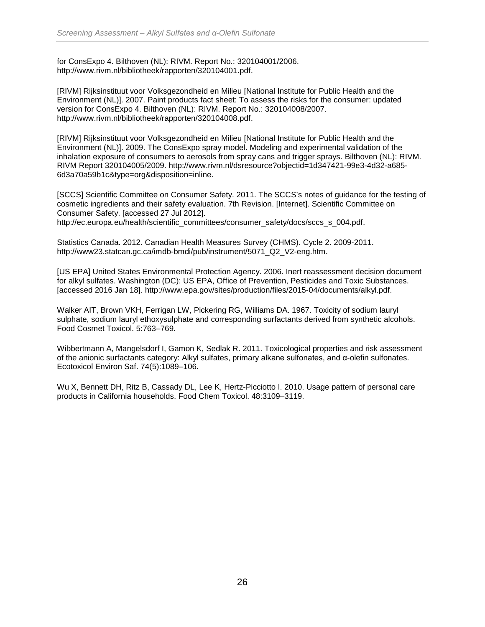for ConsExpo 4. Bilthoven (NL): RIVM. Report No.: 320104001/2006. http://www.rivm.nl/bibliotheek/rapporten/320104001.pdf.

[RIVM] Rijksinstituut voor Volksgezondheid en Milieu [National Institute for Public Health and the Environment (NL)]. 2007. Paint products fact sheet: To assess the risks for the consumer: updated version for ConsExpo 4. Bilthoven (NL): RIVM. Report No.: 320104008/2007. http://www.rivm.nl/bibliotheek/rapporten/320104008.pdf.

[RIVM] Rijksinstituut voor Volksgezondheid en Milieu [National Institute for Public Health and the Environment (NL)]. 2009. The ConsExpo spray model. Modeling and experimental validation of the inhalation exposure of consumers to aerosols from spray cans and trigger sprays. Bilthoven (NL): RIVM. RIVM Report 320104005/2009. http://www.rivm.nl/dsresource?objectid=1d347421-99e3-4d32-a685- 6d3a70a59b1c&type=org&disposition=inline.

[SCCS] Scientific Committee on Consumer Safety. 2011. The SCCS's notes of guidance for the testing of cosmetic ingredients and their safety evaluation. 7th Revision. [Internet]. Scientific Committee on Consumer Safety. [accessed 27 Jul 2012]. http://ec.europa.eu/health/scientific\_committees/consumer\_safety/docs/sccs\_s\_004.pdf.

Statistics Canada. 2012. Canadian Health Measures Survey (CHMS). Cycle 2. 2009-2011. http://www23.statcan.gc.ca/imdb-bmdi/pub/instrument/5071\_Q2\_V2-eng.htm.

[US EPA] United States Environmental Protection Agency. 2006. Inert reassessment decision document for alkyl sulfates. Washington (DC): US EPA, Office of Prevention, Pesticides and Toxic Substances. [accessed 2016 Jan 18]. http://www.epa.gov/sites/production/files/2015-04/documents/alkyl.pdf.

Walker AIT, Brown VKH, Ferrigan LW, Pickering RG, Williams DA. 1967. Toxicity of sodium lauryl sulphate, sodium lauryl ethoxysulphate and corresponding surfactants derived from synthetic alcohols. Food Cosmet Toxicol. 5:763–769.

Wibbertmann A, Mangelsdorf I, Gamon K, Sedlak R. 2011. Toxicological properties and risk assessment of the anionic surfactants category: Alkyl sulfates, primary alkane sulfonates, and α-olefin sulfonates. Ecotoxicol Environ Saf. 74(5):1089–106.

Wu X, Bennett DH, Ritz B, Cassady DL, Lee K, Hertz-Picciotto I. 2010. Usage pattern of personal care products in California households. Food Chem Toxicol. 48:3109–3119.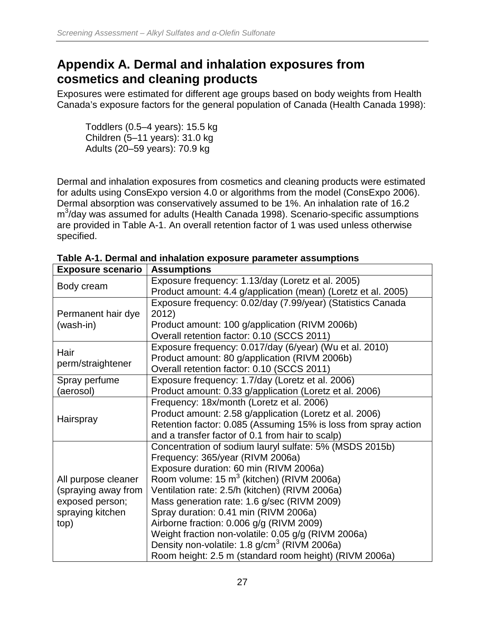### <span id="page-33-0"></span>**Appendix A. Dermal and inhalation exposures from cosmetics and cleaning products**

Exposures were estimated for different age groups based on body weights from Health Canada's exposure factors for the general population of Canada (Health Canada 1998):

Toddlers (0.5–4 years): 15.5 kg Children (5–11 years): 31.0 kg Adults (20–59 years): 70.9 kg

Dermal and inhalation exposures from cosmetics and cleaning products were estimated for adults using ConsExpo version 4.0 or algorithms from the model (ConsExpo 2006). Dermal absorption was conservatively assumed to be 1%. An inhalation rate of 16.2 m<sup>3</sup>/day was assumed for adults (Health Canada 1998). Scenario-specific assumptions are provided in Table A-1. An overall retention factor of 1 was used unless otherwise specified.

| <b>Exposure scenario</b> | <b>Assumptions</b>                                              |
|--------------------------|-----------------------------------------------------------------|
| Body cream               | Exposure frequency: 1.13/day (Loretz et al. 2005)               |
|                          | Product amount: 4.4 g/application (mean) (Loretz et al. 2005)   |
|                          | Exposure frequency: 0.02/day (7.99/year) (Statistics Canada     |
| Permanent hair dye       | 2012)                                                           |
| (wash-in)                | Product amount: 100 g/application (RIVM 2006b)                  |
|                          | Overall retention factor: 0.10 (SCCS 2011)                      |
| Hair                     | Exposure frequency: 0.017/day (6/year) (Wu et al. 2010)         |
| perm/straightener        | Product amount: 80 g/application (RIVM 2006b)                   |
|                          | Overall retention factor: 0.10 (SCCS 2011)                      |
| Spray perfume            | Exposure frequency: 1.7/day (Loretz et al. 2006)                |
| (aerosol)                | Product amount: 0.33 g/application (Loretz et al. 2006)         |
|                          | Frequency: 18x/month (Loretz et al. 2006)                       |
| Hairspray                | Product amount: 2.58 g/application (Loretz et al. 2006)         |
|                          | Retention factor: 0.085 (Assuming 15% is loss from spray action |
|                          | and a transfer factor of 0.1 from hair to scalp)                |
|                          | Concentration of sodium lauryl sulfate: 5% (MSDS 2015b)         |
|                          | Frequency: 365/year (RIVM 2006a)                                |
|                          | Exposure duration: 60 min (RIVM 2006a)                          |
| All purpose cleaner      | Room volume: 15 m <sup>3</sup> (kitchen) (RIVM 2006a)           |
| (spraying away from      | Ventilation rate: 2.5/h (kitchen) (RIVM 2006a)                  |
| exposed person;          | Mass generation rate: 1.6 g/sec (RIVM 2009)                     |
| spraying kitchen         | Spray duration: 0.41 min (RIVM 2006a)                           |
| top)                     | Airborne fraction: 0.006 g/g (RIVM 2009)                        |
|                          | Weight fraction non-volatile: 0.05 g/g (RIVM 2006a)             |
|                          | Density non-volatile: 1.8 g/cm <sup>3</sup> (RIVM 2006a)        |
|                          | Room height: 2.5 m (standard room height) (RIVM 2006a)          |

**Table A-1. Dermal and inhalation exposure parameter assumptions**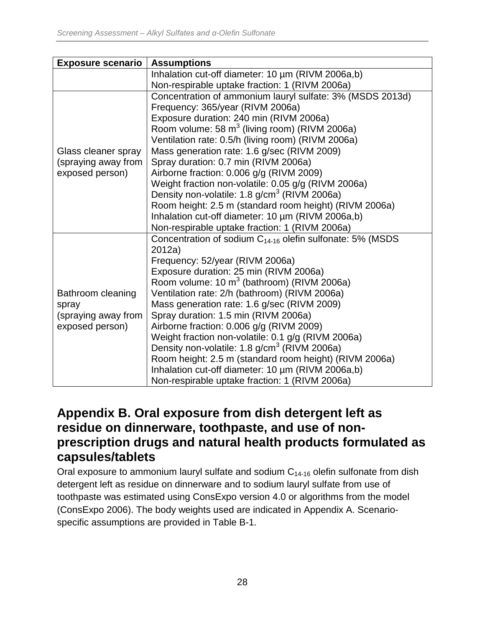| <b>Exposure scenario</b> | <b>Assumptions</b>                                             |
|--------------------------|----------------------------------------------------------------|
|                          | Inhalation cut-off diameter: 10 µm (RIVM 2006a,b)              |
|                          | Non-respirable uptake fraction: 1 (RIVM 2006a)                 |
|                          | Concentration of ammonium lauryl sulfate: 3% (MSDS 2013d)      |
|                          | Frequency: 365/year (RIVM 2006a)                               |
|                          | Exposure duration: 240 min (RIVM 2006a)                        |
|                          | Room volume: 58 m <sup>3</sup> (living room) (RIVM 2006a)      |
|                          | Ventilation rate: 0.5/h (living room) (RIVM 2006a)             |
| Glass cleaner spray      | Mass generation rate: 1.6 g/sec (RIVM 2009)                    |
| (spraying away from      | Spray duration: 0.7 min (RIVM 2006a)                           |
| exposed person)          | Airborne fraction: 0.006 g/g (RIVM 2009)                       |
|                          | Weight fraction non-volatile: 0.05 g/g (RIVM 2006a)            |
|                          | Density non-volatile: 1.8 g/cm <sup>3</sup> (RIVM 2006a)       |
|                          | Room height: 2.5 m (standard room height) (RIVM 2006a)         |
|                          | Inhalation cut-off diameter: 10 µm (RIVM 2006a,b)              |
|                          | Non-respirable uptake fraction: 1 (RIVM 2006a)                 |
|                          | Concentration of sodium $C_{14-16}$ olefin sulfonate: 5% (MSDS |
|                          | 2012a)                                                         |
|                          | Frequency: 52/year (RIVM 2006a)                                |
|                          | Exposure duration: 25 min (RIVM 2006a)                         |
|                          | Room volume: 10 m <sup>3</sup> (bathroom) (RIVM 2006a)         |
| Bathroom cleaning        | Ventilation rate: 2/h (bathroom) (RIVM 2006a)                  |
| spray                    | Mass generation rate: 1.6 g/sec (RIVM 2009)                    |
| (spraying away from      | Spray duration: 1.5 min (RIVM 2006a)                           |
| exposed person)          | Airborne fraction: 0.006 g/g (RIVM 2009)                       |
|                          | Weight fraction non-volatile: 0.1 g/g (RIVM 2006a)             |
|                          | Density non-volatile: 1.8 g/cm <sup>3</sup> (RIVM 2006a)       |
|                          | Room height: 2.5 m (standard room height) (RIVM 2006a)         |
|                          | Inhalation cut-off diameter: 10 µm (RIVM 2006a,b)              |
|                          | Non-respirable uptake fraction: 1 (RIVM 2006a)                 |

### <span id="page-34-0"></span>**Appendix B. Oral exposure from dish detergent left as residue on dinnerware, toothpaste, and use of nonprescription drugs and natural health products formulated as capsules/tablets**

Oral exposure to ammonium lauryl sulfate and sodium  $C_{14-16}$  olefin sulfonate from dish detergent left as residue on dinnerware and to sodium lauryl sulfate from use of toothpaste was estimated using ConsExpo version 4.0 or algorithms from the model (ConsExpo 2006). The body weights used are indicated in Appendix A. Scenariospecific assumptions are provided in Table B-1.